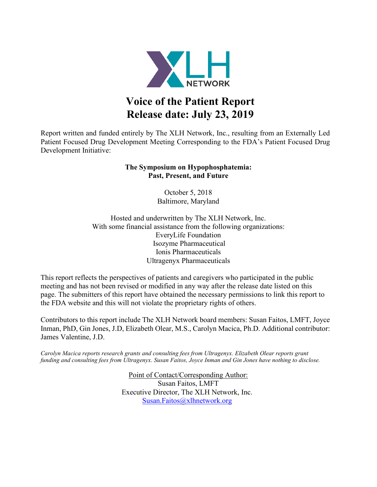

# **Voice of the Patient Report Release date: July 23, 2019**

Report written and funded entirely by The XLH Network, Inc., resulting from an Externally Led Patient Focused Drug Development Meeting Corresponding to the FDA's Patient Focused Drug Development Initiative:

## **The Symposium on Hypophosphatemia: Past, Present, and Future**

October 5, 2018 Baltimore, Maryland

Hosted and underwritten by The XLH Network, Inc. With some financial assistance from the following organizations: EveryLife Foundation Isozyme Pharmaceutical Ionis Pharmaceuticals Ultragenyx Pharmaceuticals

This report reflects the perspectives of patients and caregivers who participated in the public meeting and has not been revised or modified in any way after the release date listed on this page. The submitters of this report have obtained the necessary permissions to link this report to the FDA website and this will not violate the proprietary rights of others.

Contributors to this report include The XLH Network board members: Susan Faitos, LMFT, Joyce Inman, PhD, Gin Jones, J.D, Elizabeth Olear, M.S., Carolyn Macica, Ph.D. Additional contributor: James Valentine, J.D.

*Carolyn Macica reports research grants and consulting fees from Ultragenyx. Elizabeth Olear reports grant funding and consulting fees from Ultragenyx. Susan Faitos, Joyce Inman and Gin Jones have nothing to disclose.*

> Point of Contact/Corresponding Author: Susan Faitos, LMFT Executive Director, The XLH Network, Inc. [Susan.Faitos@xlhnetwork.org](mailto:Susan.Faitos@xlhnetwork.org)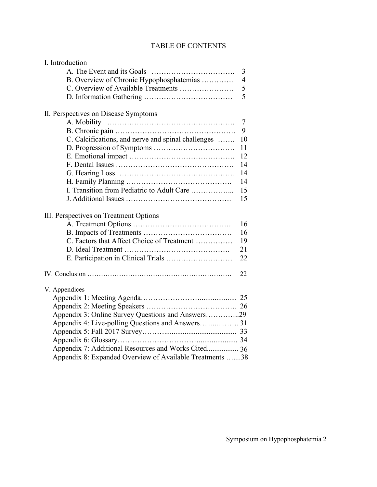# TABLE OF CONTENTS

| I. Introduction                                          |                |
|----------------------------------------------------------|----------------|
|                                                          | 3              |
| B. Overview of Chronic Hypophosphatemias                 | $\overline{4}$ |
| C. Overview of Available Treatments                      | 5              |
|                                                          | 5              |
| II. Perspectives on Disease Symptoms                     |                |
|                                                          | $\tau$         |
|                                                          | 9              |
| C. Calcifications, and nerve and spinal challenges       | 10             |
|                                                          | 11             |
|                                                          | 12             |
|                                                          | 14             |
|                                                          | 14             |
|                                                          | 14             |
| I. Transition from Pediatric to Adult Care               | 15             |
|                                                          | 15             |
| III. Perspectives on Treatment Options                   |                |
|                                                          | 16             |
|                                                          | 16             |
| C. Factors that Affect Choice of Treatment               | 19             |
|                                                          | 21             |
|                                                          | 22             |
|                                                          | 22             |
| V. Appendices                                            |                |
|                                                          |                |
|                                                          |                |
| Appendix 3: Online Survey Questions and Answers29        |                |
|                                                          |                |
|                                                          |                |
|                                                          |                |
| Appendix 7: Additional Resources and Works Cited 36      |                |
| Appendix 8: Expanded Overview of Available Treatments 38 |                |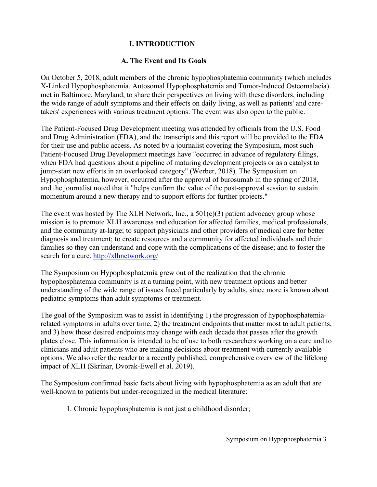# **I. INTRODUCTION**

# **A. The Event and Its Goals**

On October 5, 2018, adult members of the chronic hypophosphatemia community (which includes X-Linked Hypophosphatemia, Autosomal Hypophosphatemia and Tumor-Induced Osteomalacia) met in Baltimore, Maryland, to share their perspectives on living with these disorders, including the wide range of adult symptoms and their effects on daily living, as well as patients' and caretakers' experiences with various treatment options. The event was also open to the public.

The Patient-Focused Drug Development meeting was attended by officials from the U.S. Food and Drug Administration (FDA), and the transcripts and this report will be provided to the FDA for their use and public access. As noted by a journalist covering the Symposium, most such Patient-Focused Drug Development meetings have "occurred in advance of regulatory filings, when FDA had questions about a pipeline of maturing development projects or as a catalyst to jump-start new efforts in an overlooked category" (Werber, 2018). The Symposium on Hypophosphatemia, however, occurred after the approval of burosumab in the spring of 2018, and the journalist noted that it "helps confirm the value of the post-approval session to sustain momentum around a new therapy and to support efforts for further projects."

The event was hosted by The XLH Network, Inc., a  $501(c)(3)$  patient advocacy group whose mission is to promote XLH awareness and education for affected families, medical professionals, and the community at-large; to support physicians and other providers of medical care for better diagnosis and treatment; to create resources and a community for affected individuals and their families so they can understand and cope with the complications of the disease; and to foster the search for a cure.<http://xlhnetwork.org/>

The Symposium on Hypophosphatemia grew out of the realization that the chronic hypophosphatemia community is at a turning point, with new treatment options and better understanding of the wide range of issues faced particularly by adults, since more is known about pediatric symptoms than adult symptoms or treatment.

The goal of the Symposium was to assist in identifying 1) the progression of hypophosphatemiarelated symptoms in adults over time, 2) the treatment endpoints that matter most to adult patients, and 3) how those desired endpoints may change with each decade that passes after the growth plates close. This information is intended to be of use to both researchers working on a cure and to clinicians and adult patients who are making decisions about treatment with currently available options. We also refer the reader to a recently published, comprehensive overview of the lifelong impact of XLH (Skrinar, Dvorak-Ewell et al. 2019).

The Symposium confirmed basic facts about living with hypophosphatemia as an adult that are well-known to patients but under-recognized in the medical literature:

1. Chronic hypophosphatemia is not just a childhood disorder;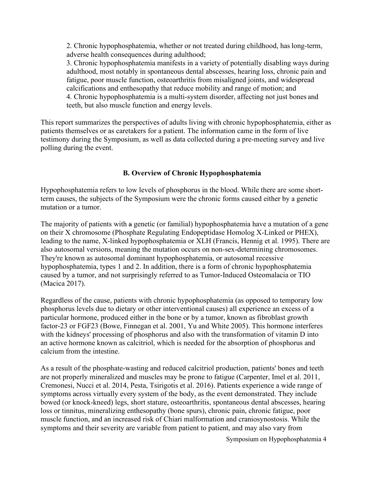2. Chronic hypophosphatemia, whether or not treated during childhood, haslong-term, adverse health consequences during adulthood;

3. Chronic hypophosphatemia manifests in a variety of potentially disabling ways during adulthood, most notably in spontaneous dental abscesses, hearing loss, chronic pain and fatigue, poor muscle function, osteoarthritis from misaligned joints, and widespread calcifications and enthesopathy that reduce mobility and range of motion; and 4. Chronic hypophosphatemia is a multi-system disorder, affecting not just bones and teeth, but also muscle function and energy levels.

This report summarizes the perspectives of adults living with chronic hypophosphatemia, either as patients themselves or as caretakers for a patient. The information came in the form of live testimony during the Symposium, as well as data collected during a pre-meeting survey and live polling during the event.

#### **B. Overview of Chronic Hypophosphatemia**

Hypophosphatemia refers to low levels of phosphorus in the blood. While there are some shortterm causes, the subjects of the Symposium were the chronic forms caused either by a genetic mutation or a tumor.

The majority of patients with a genetic (or familial) hypophosphatemia have a mutation of a gene on their X chromosome (Phosphate Regulating Endopeptidase Homolog X-Linked or PHEX), leading to the name, X-linked hypophosphatemia or XLH (Francis, Hennig et al. 1995). There are also autosomal versions, meaning the mutation occurs on non-sex-determining chromosomes. They're known as autosomal dominant hypophosphatemia, or autosomal recessive hypophosphatemia, types 1 and 2. In addition, there is a form of chronic hypophosphatemia caused by a tumor, and not surprisingly referred to as Tumor-Induced Osteomalacia or TIO (Macica 2017).

Regardless of the cause, patients with chronic hypophosphatemia (as opposed to temporary low phosphorus levels due to dietary or other interventional causes) all experience an excess of a particular hormone, produced either in the bone or by a tumor, known as fibroblast growth factor-23 or FGF23 (Bowe, Finnegan et al. 2001, Yu and White 2005). This hormone interferes with the kidneys' processing of phosphorus and also with the transformation of vitamin D into an active hormone known as calcitriol, which is needed for the absorption of phosphorus and calcium from the intestine.

As a result of the phosphate-wasting and reduced calcitriol production, patients' bones and teeth are not properly mineralized and muscles may be prone to fatigue (Carpenter, Imel et al. 2011, Cremonesi, Nucci et al. 2014, Pesta, Tsirigotis et al. 2016). Patients experience a wide range of symptoms across virtually every system of the body, as the event demonstrated. They include bowed (or knock-kneed) legs, short stature, osteoarthritis, spontaneous dental abscesses, hearing loss or tinnitus, mineralizing enthesopathy (bone spurs), chronic pain, chronic fatigue, poor muscle function, and an increased risk of Chiari malformation and craniosynostosis. While the symptoms and their severity are variable from patient to patient, and may also vary from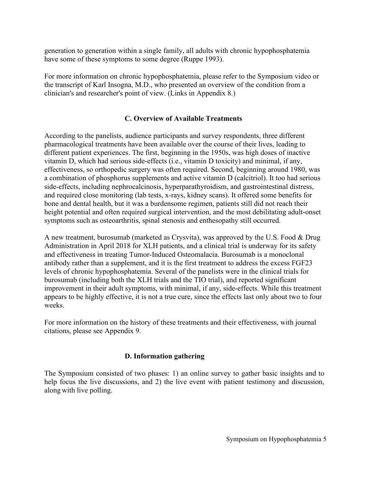generation to generation within a single family, all adults with chronic hypophosphatemia have some of these symptoms to some degree (Ruppe 1993).

For more information on chronic hypophosphatemia, please refer to the Symposium video or the transcript of Karl Insogna, M.D., who presented an overview of the condition from a clinician's and researcher's point of view. (Links in Appendix 8.)

#### **C. Overview of Available Treatments**

According to the panelists, audience participants and survey respondents, three different pharmacological treatments have been available over the course of their lives, leading to different patient experiences. The first, beginning in the 1950s, was high doses of inactive vitamin D, which had serious side-effects (i.e., vitamin D toxicity) and minimal, if any, effectiveness, so orthopedic surgery was often required. Second, beginning around 1980, was a combination of phosphorus supplements and active vitamin D (calcitriol). It too had serious side-effects, including nephrocalcinosis, hyperparathyroidism, and gastrointestinal distress, and required close monitoring (lab tests, x-rays, kidney scans). It offered some benefits for bone and dental health, but it was a burdensome regimen, patients still did not reach their height potential and often required surgical intervention, and the most debilitating adult-onset symptoms such as osteoarthritis, spinal stenosis and enthesopathy still occurred.

A new treatment, burosumab (marketed as Crysvita), was approved by the U.S. Food & Drug Administration in April 2018 for XLH patients, and a clinical trial is underway for its safety and effectiveness in treating Tumor-Induced Osteomalacia. Burosumab is a monoclonal antibody rather than a supplement, and it is the first treatment to address the excess FGF23 levels of chronic hypophosphatemia. Several of the panelists were in the clinical trials for burosumab (including both the XLH trials and the TIO trial), and reported significant improvement in their adult symptoms, with minimal, if any, side-effects. While this treatment appears to be highly effective, it is not a true cure, since the effects last only about two to four weeks.

For more information on the history of these treatments and their effectiveness, with journal citations, please see Appendix 9.

#### **D. Information gathering**

The Symposium consisted of two phases: 1) an online survey to gather basic insights and to help focus the live discussions, and 2) the live event with patient testimony and discussion, along with live polling.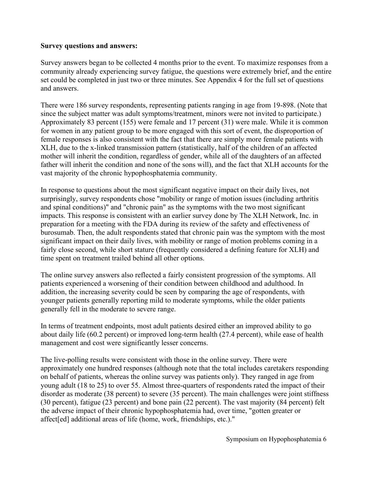#### **Survey questions and answers:**

Survey answers began to be collected 4 months prior to the event. To maximize responses from a community already experiencing survey fatigue, the questions were extremely brief, and the entire set could be completed in just two or three minutes. See Appendix 4 for the full set of questions and answers.

There were 186 survey respondents, representing patients ranging in age from 19-898. (Note that since the subject matter was adult symptoms/treatment, minors were not invited to participate.) Approximately 83 percent (155) were female and 17 percent (31) were male. While it is common for women in any patient group to be more engaged with this sort of event, the disproportion of female responses is also consistent with the fact that there are simply more female patients with XLH, due to the x-linked transmission pattern (statistically, half of the children of an affected mother will inherit the condition, regardless of gender, while all of the daughters of an affected father will inherit the condition and none of the sons will), and the fact that XLH accounts for the vast majority of the chronic hypophosphatemia community.

In response to questions about the most significant negative impact on their daily lives, not surprisingly, survey respondents chose "mobility or range of motion issues (including arthritis and spinal conditions)" and "chronic pain" as the symptoms with the two most significant impacts. This response is consistent with an earlier survey done by The XLH Network, Inc. in preparation for a meeting with the FDA during its review of the safety and effectiveness of burosumab. Then, the adult respondents stated that chronic pain was the symptom with the most significant impact on their daily lives, with mobility or range of motion problems coming in a fairly close second, while short stature (frequently considered a defining feature for XLH) and time spent on treatment trailed behind all other options.

The online survey answers also reflected a fairly consistent progression of the symptoms. All patients experienced a worsening of their condition between childhood and adulthood. In addition, the increasing severity could be seen by comparing the age of respondents, with younger patients generally reporting mild to moderate symptoms, while the older patients generally fell in the moderate to severe range.

In terms of treatment endpoints, most adult patients desired either an improved ability to go about daily life (60.2 percent) or improved long-term health (27.4 percent), while ease of health management and cost were significantly lesser concerns.

The live-polling results were consistent with those in the online survey. There were approximately one hundred responses (although note that the total includes caretakers responding on behalf of patients, whereas the online survey was patients only). They ranged in age from young adult (18 to 25) to over 55. Almost three-quarters of respondents rated the impact of their disorder as moderate (38 percent) to severe (35 percent). The main challenges were joint stiffness (30 percent), fatigue (23 percent) and bone pain (22 percent). The vast majority (84 percent) felt the adverse impact of their chronic hypophosphatemia had, over time, "gotten greater or affect[ed] additional areas of life (home, work, friendships, etc.)."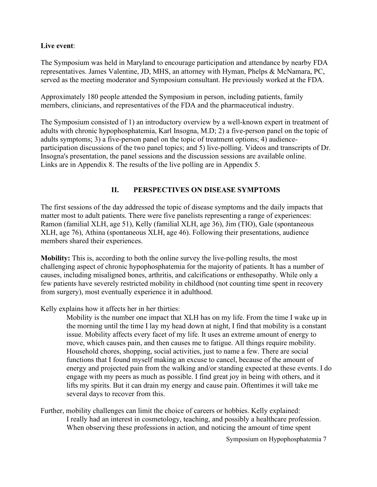## **Live event**:

The Symposium was held in Maryland to encourage participation and attendance by nearby FDA representatives. James Valentine, JD, MHS, an attorney with Hyman, Phelps & McNamara, PC, served as the meeting moderator and Symposium consultant. He previously worked at the FDA.

Approximately 180 people attended the Symposium in person, including patients, family members, clinicians, and representatives of the FDA and the pharmaceutical industry.

The Symposium consisted of 1) an introductory overview by a well-known expert in treatment of adults with chronic hypophosphatemia, Karl Insogna, M.D; 2) a five-person panel on the topic of adults symptoms; 3) a five-person panel on the topic of treatment options; 4) audienceparticipation discussions of the two panel topics; and 5) live-polling. Videos and transcripts of Dr. Insogna's presentation, the panel sessions and the discussion sessions are available online. Links are in Appendix 8. The results of the live polling are in Appendix 5.

# **II. PERSPECTIVES ON DISEASE SYMPTOMS**

The first sessions of the day addressed the topic of disease symptoms and the daily impacts that matter most to adult patients. There were five panelists representing a range of experiences: Ramon (familial XLH, age 51), Kelly (familial XLH, age 36), Jim (TIO), Gale (spontaneous XLH, age 76), Athina (spontaneous XLH, age 46). Following their presentations, audience members shared their experiences.

**Mobility:** This is, according to both the online survey the live-polling results, the most challenging aspect of chronic hypophosphatemia for the majority of patients. It has a number of causes, including misaligned bones, arthritis, and calcifications or enthesopathy. While only a few patients have severely restricted mobility in childhood (not counting time spent in recovery from surgery), most eventually experience it in adulthood.

Kelly explains how it affects her in her thirties:

Mobility is the number one impact that XLH has on my life. From the time I wake up in the morning until the time I lay my head down at night, I find that mobility is a constant issue. Mobility affects every facet of my life. It uses an extreme amount of energy to move, which causes pain, and then causes me to fatigue. All things require mobility. Household chores, shopping, social activities, just to name a few. There are social functions that I found myself making an excuse to cancel, because of the amount of energy and projected pain from the walking and/or standing expected at these events. I do engage with my peers as much as possible. I find great joy in being with others, and it lifts my spirits. But it can drain my energy and cause pain. Oftentimes it will take me several days to recover from this.

Further, mobility challenges can limit the choice of careers or hobbies. Kelly explained: I really had an interest in cosmetology, teaching, and possibly a healthcare profession. When observing these professions in action, and noticing the amount of time spent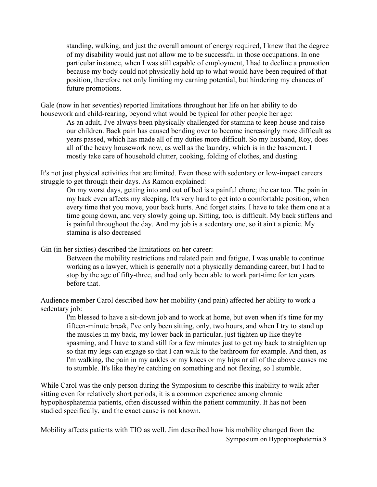standing, walking, and just the overall amount of energy required, I knew that the degree of my disability would just not allow me to be successful in those occupations. In one particular instance, when I was still capable of employment, I had to decline a promotion because my body could not physically hold up to what would have been required of that position, therefore not only limiting my earning potential, but hindering my chances of future promotions.

Gale (now in her seventies) reported limitations throughout her life on her ability to do housework and child-rearing, beyond what would be typical for other people her age:

As an adult, I've always been physically challenged for stamina to keep house and raise our children. Back pain has caused bending over to become increasingly more difficult as years passed, which has made all of my duties more difficult. So my husband, Roy, does all of the heavy housework now, as well as the laundry, which is in the basement. I mostly take care of household clutter, cooking, folding of clothes, and dusting.

It's not just physical activities that are limited. Even those with sedentary or low-impact careers struggle to get through their days. As Ramon explained:

On my worst days, getting into and out of bed is a painful chore; the car too. The pain in my back even affects my sleeping. It's very hard to get into a comfortable position, when every time that you move, your back hurts. And forget stairs. I have to take them one at a time going down, and very slowly going up. Sitting, too, is difficult. My back stiffens and is painful throughout the day. And my job is a sedentary one, so it ain't a picnic. My stamina is also decreased

Gin (in her sixties) described the limitations on her career:

Between the mobility restrictions and related pain and fatigue, I was unable to continue working as a lawyer, which is generally not a physically demanding career, but I had to stop by the age of fifty-three, and had only been able to work part-time for ten years before that.

Audience member Carol described how her mobility (and pain) affected her ability to work a sedentary job:

I'm blessed to have a sit-down job and to work at home, but even when it's time for my fifteen-minute break, I've only been sitting, only, two hours, and when I try to stand up the muscles in my back, my lower back in particular, just tighten up like they're spasming, and I have to stand still for a few minutes just to get my back to straighten up so that my legs can engage so that I can walk to the bathroom for example. And then, as I'm walking, the pain in my ankles or my knees or my hips or all of the above causes me to stumble. It's like they're catching on something and not flexing, so I stumble.

While Carol was the only person during the Symposium to describe this inability to walk after sitting even for relatively short periods, it is a common experience among chronic hypophosphatemia patients, often discussed within the patient community. It has not been studied specifically, and the exact cause is not known.

Symposium on Hypophosphatemia 8 Mobility affects patients with TIO as well. Jim described how his mobility changed from the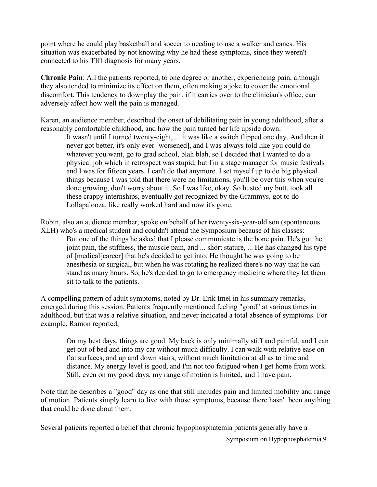point where he could play basketball and soccer to needing to use a walker and canes. His situation was exacerbated by not knowing why he had these symptoms, since they weren't connected to his TIO diagnosis for many years.

**Chronic Pain**: All the patients reported, to one degree or another, experiencing pain, although they also tended to minimize its effect on them, often making a joke to cover the emotional discomfort. This tendency to downplay the pain, if it carries over to the clinician's office, can adversely affect how well the pain is managed.

Karen, an audience member, described the onset of debilitating pain in young adulthood, after a reasonably comfortable childhood, and how the pain turned her life upside down:

It wasn't until I turned twenty-eight, ... it was like a switch flipped one day. And then it never got better, it's only ever [worsened], and I was always told like you could do whatever you want, go to grad school, blah blah, so I decided that I wanted to do a physical job which in retrospect was stupid, but I'm a stage manager for music festivals and I was for fifteen years. I can't do that anymore. I set myself up to do big physical things because I was told that there were no limitations, you'll be over this when you're done growing, don't worry about it. So I was like, okay. So busted my butt, took all these crappy internships, eventually got recognized by the Grammys, got to do Lollapalooza, like really worked hard and now it's gone.

Robin, also an audience member, spoke on behalf of her twenty-six-year-old son (spontaneous XLH) who's a medical student and couldn't attend the Symposium because of his classes: But one of the things he asked that I please communicate is the bone pain. He's got the

joint pain, the stiffness, the muscle pain, and ... short stature, ... He has changed his type of [medical[career] that he's decided to get into. He thought he was going to be anesthesia or surgical, but when he was rotating he realized there's no way that he can stand as many hours. So, he's decided to go to emergency medicine where they let them sit to talk to the patients.

A compelling pattern of adult symptoms, noted by Dr. Erik Imel in his summary remarks, emerged during this session. Patients frequently mentioned feeling "good" at various times in adulthood, but that was a relative situation, and never indicated a total absence of symptoms. For example, Ramon reported,

On my best days, things are good. My back is only minimally stiff and painful, and I can get out of bed and into my car without much difficulty. I can walk with relative ease on flat surfaces, and up and down stairs, without much limitation at all as to time and distance. My energy level is good, and I'm not too fatigued when I get home from work. Still, even on my good days, my range of motion is limited, and I have pain.

Note that he describes a "good" day as one that still includes pain and limited mobility and range of motion. Patients simply learn to live with those symptoms, because there hasn't been anything that could be done about them.

Several patients reported a belief that chronic hypophosphatemia patients generally have a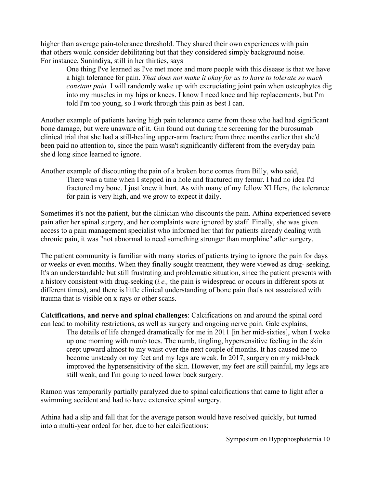higher than average pain-tolerance threshold. They shared their own experiences with pain that others would consider debilitating but that they considered simply background noise. For instance, Sunindiya, still in her thirties, says

One thing I've learned as I've met more and more people with this disease is that we have a high tolerance for pain. *That does not make it okay for us to have to tolerate so much constant pain.* I will randomly wake up with excruciating joint pain when osteophytes dig into my muscles in my hips or knees. I know I need knee and hip replacements, but I'm told I'm too young, so I work through this pain as best I can.

Another example of patients having high pain tolerance came from those who had had significant bone damage, but were unaware of it. Gin found out during the screening for the burosumab clinical trial that she had a still-healing upper-arm fracture from three months earlier that she'd been paid no attention to, since the pain wasn't significantly different from the everyday pain she'd long since learned to ignore.

Another example of discounting the pain of a broken bone comes from Billy, who said, There was a time when I stepped in a hole and fractured my femur. I had no idea I'd fractured my bone. I just knew it hurt. As with many of my fellow XLHers, the tolerance for pain is very high, and we grow to expect it daily.

Sometimes it's not the patient, but the clinician who discounts the pain. Athina experienced severe pain after her spinal surgery, and her complaints were ignored by staff. Finally, she was given access to a pain management specialist who informed her that for patients already dealing with chronic pain, it was "not abnormal to need something stronger than morphine" after surgery.

The patient community is familiar with many stories of patients trying to ignore the pain for days or weeks or even months. When they finally sought treatment, they were viewed as drug- seeking. It's an understandable but still frustrating and problematic situation, since the patient presents with a history consistent with drug-seeking (*i.e.,* the pain is widespread or occurs in different spots at different times), and there is little clinical understanding of bone pain that's not associated with trauma that is visible on x-rays or other scans.

**Calcifications, and nerve and spinal challenges**: Calcifications on and around the spinal cord can lead to mobility restrictions, as well as surgery and ongoing nerve pain. Gale explains,

The details of life changed dramatically for me in 2011 [in her mid-sixties], when I woke up one morning with numb toes. The numb, tingling, hypersensitive feeling in the skin crept upward almost to my waist over the next couple of months. It has caused me to become unsteady on my feet and my legs are weak. In 2017, surgery on my mid-back improved the hypersensitivity of the skin. However, my feet are still painful, my legs are still weak, and I'm going to need lower back surgery.

Ramon was temporarily partially paralyzed due to spinal calcifications that came to light after a swimming accident and had to have extensive spinal surgery.

Athina had a slip and fall that for the average person would have resolved quickly, but turned into a multi-year ordeal for her, due to her calcifications: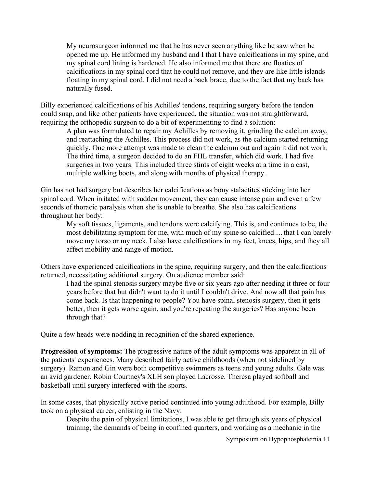My neurosurgeon informed me that he has never seen anything like he saw when he opened me up. He informed my husband and I that I have calcifications in my spine, and my spinal cord lining is hardened. He also informed me that there are floaties of calcifications in my spinal cord that he could not remove, and they are like little islands floating in my spinal cord. I did not need a back brace, due to the fact that my back has naturally fused.

Billy experienced calcifications of his Achilles' tendons, requiring surgery before the tendon could snap, and like other patients have experienced, the situation was not straightforward, requiring the orthopedic surgeon to do a bit of experimenting to find a solution:

A plan was formulated to repair my Achilles by removing it, grinding the calcium away, and reattaching the Achilles. This process did not work, as the calcium started returning quickly. One more attempt was made to clean the calcium out and again it did not work. The third time, a surgeon decided to do an FHL transfer, which did work. I had five surgeries in two years. This included three stints of eight weeks at a time in a cast, multiple walking boots, and along with months of physical therapy.

Gin has not had surgery but describes her calcifications as bony stalactites sticking into her spinal cord. When irritated with sudden movement, they can cause intense pain and even a few seconds of thoracic paralysis when she is unable to breathe. She also has calcifications throughout her body:

My soft tissues, ligaments, and tendons were calcifying. This is, and continues to be, the most debilitating symptom for me, with much of my spine so calcified .... that I can barely move my torso or my neck. I also have calcifications in my feet, knees, hips, and they all affect mobility and range of motion.

Others have experienced calcifications in the spine, requiring surgery, and then the calcifications returned, necessitating additional surgery. On audience member said:

I had the spinal stenosis surgery maybe five or six years ago after needing it three or four years before that but didn't want to do it until I couldn't drive. And now all that pain has come back. Is that happening to people? You have spinal stenosis surgery, then it gets better, then it gets worse again, and you're repeating the surgeries? Has anyone been through that?

Quite a few heads were nodding in recognition of the shared experience.

**Progression of symptoms:** The progressive nature of the adult symptoms was apparent in all of the patients' experiences. Many described fairly active childhoods (when not sidelined by surgery). Ramon and Gin were both competitive swimmers as teens and young adults. Gale was an avid gardener. Robin Courtney's XLH son played Lacrosse. Theresa played softball and basketball until surgery interfered with the sports.

In some cases, that physically active period continued into young adulthood. For example, Billy took on a physical career, enlisting in the Navy:

Despite the pain of physical limitations, I was able to get through six years of physical training, the demands of being in confined quarters, and working as a mechanic in the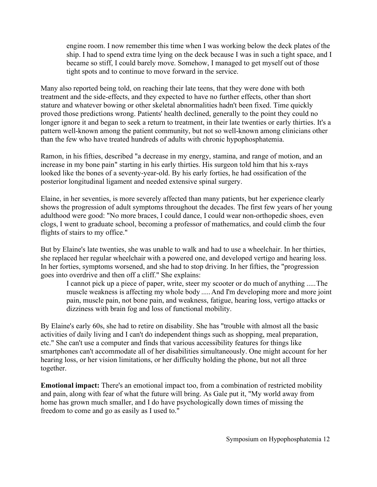engine room. I now remember this time when I was working below the deck plates of the ship. I had to spend extra time lying on the deck because I was in such a tight space, and I became so stiff, I could barely move. Somehow, I managed to get myself out of those tight spots and to continue to move forward in the service.

Many also reported being told, on reaching their late teens, that they were done with both treatment and the side-effects, and they expected to have no further effects, other than short stature and whatever bowing or other skeletal abnormalities hadn't been fixed. Time quickly proved those predictions wrong. Patients' health declined, generally to the point they could no longer ignore it and began to seek a return to treatment, in their late twenties or early thirties. It's a pattern well-known among the patient community, but not so well-known among clinicians other than the few who have treated hundreds of adults with chronic hypophosphatemia.

Ramon, in his fifties, described "a decrease in my energy, stamina, and range of motion, and an increase in my bone pain" starting in his early thirties. His surgeon told him that his x-rays looked like the bones of a seventy-year-old. By his early forties, he had ossification of the posterior longitudinal ligament and needed extensive spinal surgery.

Elaine, in her seventies, is more severely affected than many patients, but her experience clearly shows the progression of adult symptoms throughout the decades. The first few years of her young adulthood were good: "No more braces, I could dance, I could wear non-orthopedic shoes, even clogs, I went to graduate school, becoming a professor of mathematics, and could climb the four flights of stairs to my office."

But by Elaine's late twenties, she was unable to walk and had to use a wheelchair. In her thirties, she replaced her regular wheelchair with a powered one, and developed vertigo and hearing loss. In her forties, symptoms worsened, and she had to stop driving. In her fifties, the "progression goes into overdrive and then off a cliff." She explains:

I cannot pick up a piece of paper, write, steer my scooter or do much of anything .....The muscle weakness is affecting my whole body .....And I'm developing more and more joint pain, muscle pain, not bone pain, and weakness, fatigue, hearing loss, vertigo attacks or dizziness with brain fog and loss of functional mobility.

By Elaine's early 60s, she had to retire on disability. She has "trouble with almost all the basic activities of daily living and I can't do independent things such as shopping, meal preparation, etc." She can't use a computer and finds that various accessibility features for things like smartphones can't accommodate all of her disabilities simultaneously. One might account for her hearing loss, or her vision limitations, or her difficulty holding the phone, but not all three together.

**Emotional impact:** There's an emotional impact too, from a combination of restricted mobility and pain, along with fear of what the future will bring. As Gale put it, "My world away from home has grown much smaller, and I do have psychologically down times of missing the freedom to come and go as easily as I used to."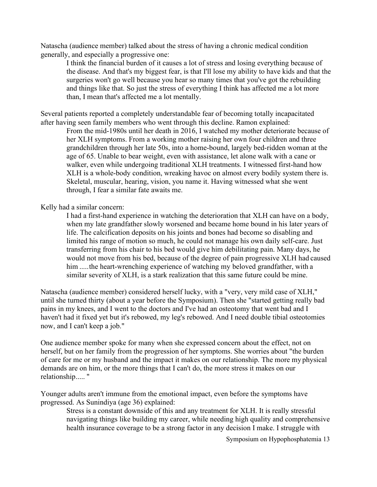Natascha (audience member) talked about the stress of having a chronic medical condition generally, and especially a progressive one:

I think the financial burden of it causes a lot of stress and losing everything because of the disease. And that's my biggest fear, is that I'll lose my ability to have kids and that the surgeries won't go well because you hear so many times that you've got the rebuilding and things like that. So just the stress of everything I think has affected me a lot more than, I mean that's affected me a lot mentally.

Several patients reported a completely understandable fear of becoming totally incapacitated after having seen family members who went through this decline. Ramon explained:

From the mid-1980s until her death in 2016, I watched my mother deteriorate because of her XLH symptoms. From a working mother raising her own four children and three grandchildren through her late 50s, into a home-bound, largely bed-ridden woman at the age of 65. Unable to bear weight, even with assistance, let alone walk with a cane or walker, even while undergoing traditional XLH treatments. I witnessed first-hand how XLH is a whole-body condition, wreaking havoc on almost every bodily system there is. Skeletal, muscular, hearing, vision, you name it. Having witnessed what she went through, I fear a similar fate awaits me.

Kelly had a similar concern:

I had a first-hand experience in watching the deterioration that XLH can have on a body, when my late grandfather slowly worsened and became home bound in his later years of life. The calcification deposits on his joints and bones had become so disabling and limited his range of motion so much, he could not manage his own daily self-care. Just transferring from his chair to his bed would give him debilitating pain. Many days, he would not move from his bed, because of the degree of pain progressive XLH had caused him ..... the heart-wrenching experience of watching my beloved grandfather, with a similar severity of XLH, is a stark realization that this same future could be mine.

Natascha (audience member) considered herself lucky, with a "very, very mild case of XLH," until she turned thirty (about a year before the Symposium). Then she "started getting really bad pains in my knees, and I went to the doctors and I've had an osteotomy that went bad and I haven't had it fixed yet but it's rebowed, my leg's rebowed. And I need double tibial osteotomies now, and I can't keep a job."

One audience member spoke for many when she expressed concern about the effect, not on herself, but on her family from the progression of her symptoms. She worries about "the burden of care for me or my husband and the impact it makes on our relationship. The more my physical demands are on him, or the more things that I can't do, the more stress it makes on our relationship....."

Younger adults aren't immune from the emotional impact, even before the symptoms have progressed. As Sunindiya (age 36) explained:

Stress is a constant downside of this and any treatment for XLH. It is really stressful navigating things like building my career, while needing high quality and comprehensive health insurance coverage to be a strong factor in any decision I make. I struggle with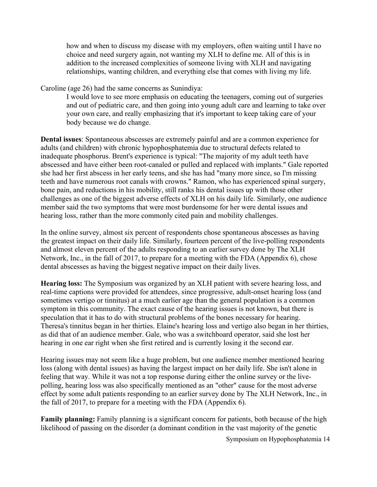how and when to discuss my disease with my employers, often waiting until I have no choice and need surgery again, not wanting my XLH to define me. All of this is in addition to the increased complexities of someone living with XLH and navigating relationships, wanting children, and everything else that comes with living my life.

Caroline (age 26) had the same concerns as Sunindiya:

I would love to see more emphasis on educating the teenagers, coming out of surgeries and out of pediatric care, and then going into young adult care and learning to take over your own care, and really emphasizing that it's important to keep taking care of your body because we do change.

**Dental issues**: Spontaneous abscesses are extremely painful and are a common experience for adults (and children) with chronic hypophosphatemia due to structural defects related to inadequate phosphorus. Brent's experience is typical: "The majority of my adult teeth have abscessed and have either been root-canaled or pulled and replaced with implants." Gale reported she had her first abscess in her early teens, and she has had "many more since, so I'm missing teeth and have numerous root canals with crowns." Ramon, who has experienced spinal surgery, bone pain, and reductions in his mobility, still ranks his dental issues up with those other challenges as one of the biggest adverse effects of XLH on his daily life. Similarly, one audience member said the two symptoms that were most burdensome for her were dental issues and hearing loss, rather than the more commonly cited pain and mobility challenges.

In the online survey, almost six percent of respondents chose spontaneous abscesses as having the greatest impact on their daily life. Similarly, fourteen percent of the live-polling respondents and almost eleven percent of the adults responding to an earlier survey done by The XLH Network, Inc., in the fall of 2017, to prepare for a meeting with the FDA (Appendix 6), chose dental abscesses as having the biggest negative impact on their daily lives.

**Hearing loss:** The Symposium was organized by an XLH patient with severe hearing loss, and real-time captions were provided for attendees, since progressive, adult-onset hearing loss (and sometimes vertigo or tinnitus) at a much earlier age than the general population is a common symptom in this community. The exact cause of the hearing issues is not known, but there is speculation that it has to do with structural problems of the bones necessary for hearing. Theresa's tinnitus began in her thirties. Elaine's hearing loss and vertigo also began in her thirties, as did that of an audience member. Gale, who was a switchboard operator, said she lost her hearing in one ear right when she first retired and is currently losing it the second ear.

Hearing issues may not seem like a huge problem, but one audience member mentioned hearing loss (along with dental issues) as having the largest impact on her daily life. She isn't alone in feeling that way. While it was not a top response during either the online survey or the livepolling, hearing loss was also specifically mentioned as an "other" cause for the most adverse effect by some adult patients responding to an earlier survey done by The XLH Network, Inc., in the fall of 2017, to prepare for a meeting with the FDA (Appendix 6).

**Family planning:** Family planning is a significant concern for patients, both because of the high likelihood of passing on the disorder (a dominant condition in the vast majority of the genetic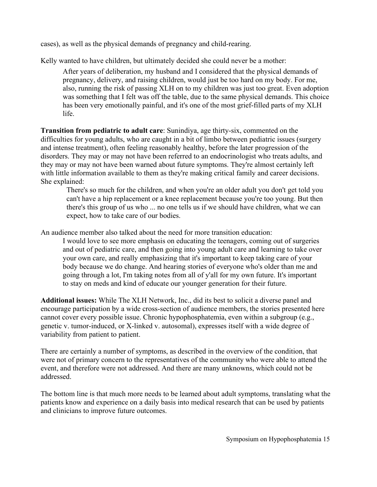cases), as well as the physical demands of pregnancy and child-rearing.

Kelly wanted to have children, but ultimately decided she could never be a mother:

After years of deliberation, my husband and I considered that the physical demands of pregnancy, delivery, and raising children, would just be too hard on my body. For me, also, running the risk of passing XLH on to my children was just too great. Even adoption was something that I felt was off the table, due to the same physical demands. This choice has been very emotionally painful, and it's one of the most grief-filled parts of my XLH life.

**Transition from pediatric to adult care**: Sunindiya, age thirty-six, commented on the difficulties for young adults, who are caught in a bit of limbo between pediatric issues (surgery and intense treatment), often feeling reasonably healthy, before the later progression of the disorders. They may or may not have been referred to an endocrinologist who treats adults, and they may or may not have been warned about future symptoms. They're almost certainly left with little information available to them as they're making critical family and career decisions. She explained:

There's so much for the children, and when you're an older adult you don't get told you can't have a hip replacement or a knee replacement because you're too young. But then there's this group of us who ... no one tells us if we should have children, what we can expect, how to take care of our bodies.

An audience member also talked about the need for more transition education:

I would love to see more emphasis on educating the teenagers, coming out of surgeries and out of pediatric care, and then going into young adult care and learning to take over your own care, and really emphasizing that it's important to keep taking care of your body because we do change. And hearing stories of everyone who's older than me and going through a lot, I'm taking notes from all of y'all for my own future. It's important to stay on meds and kind of educate our younger generation for their future.

**Additional issues:** While The XLH Network, Inc., did its best to solicit a diverse panel and encourage participation by a wide cross-section of audience members, the stories presented here cannot cover every possible issue. Chronic hypophosphatemia, even within a subgroup (e.g., genetic v. tumor-induced, or X-linked v. autosomal), expresses itself with a wide degree of variability from patient to patient.

There are certainly a number of symptoms, as described in the overview of the condition, that were not of primary concern to the representatives of the community who were able to attend the event, and therefore were not addressed. And there are many unknowns, which could not be addressed.

The bottom line is that much more needs to be learned about adult symptoms, translating what the patients know and experience on a daily basis into medical research that can be used by patients and clinicians to improve future outcomes.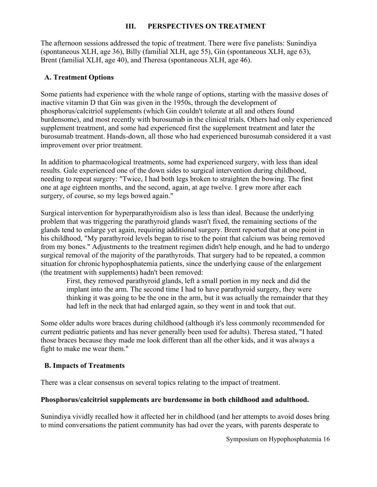## **III. PERSPECTIVES ON TREATMENT**

The afternoon sessions addressed the topic of treatment. There were five panelists: Sunindiya (spontaneous XLH, age 36), Billy (familial XLH, age 55), Gin (spontaneous XLH, age 63), Brent (familial XLH, age 40), and Theresa (spontaneous XLH, age 46).

## **A. Treatment Options**

Some patients had experience with the whole range of options, starting with the massive doses of inactive vitamin D that Gin was given in the 1950s, through the development of phosphorus/calcitriol supplements (which Gin couldn't tolerate at all and others found burdensome), and most recently with burosumab in the clinical trials. Others had only experienced supplement treatment, and some had experienced first the supplement treatment and later the burosumab treatment. Hands-down, all those who had experienced burosumab considered it a vast improvement over prior treatment.

In addition to pharmacological treatments, some had experienced surgery, with less than ideal results. Gale experienced one of the down sides to surgical intervention during childhood, needing to repeat surgery: "Twice, I had both legs broken to straighten the bowing. The first one at age eighteen months, and the second, again, at age twelve. I grew more after each surgery, of course, so my legs bowed again."

Surgical intervention for hyperparathyroidism also is less than ideal. Because the underlying problem that was triggering the parathyroid glands wasn't fixed, the remaining sections of the glands tend to enlarge yet again, requiring additional surgery. Brent reported that at one point in his childhood, "My parathyroid levels began to rise to the point that calcium was being removed from my bones." Adjustments to the treatment regimen didn't help enough, and he had to undergo surgical removal of the majority of the parathyroids. That surgery had to be repeated, a common situation for chronic hypophosphatemia patients, since the underlying cause of the enlargement (the treatment with supplements) hadn't been removed:

First, they removed parathyroid glands, left a small portion in my neck and did the implant into the arm. The second time I had to have parathyroid surgery, they were thinking it was going to be the one in the arm, but it was actually the remainder that they had left in the neck that had enlarged again, so they went in and took that out.

Some older adults wore braces during childhood (although it's less commonly recommended for current pediatric patients and has never generally been used for adults). Theresa stated, "I hated those braces because they made me look different than all the other kids, and it was always a fight to make me wear them."

## **B. Impacts of Treatments**

There was a clear consensus on several topics relating to the impact of treatment.

#### **Phosphorus/calcitriol supplements are burdensome in both childhood and adulthood.**

Sunindiya vividly recalled how it affected her in childhood (and her attempts to avoid doses bring to mind conversations the patient community has had over the years, with parents desperate to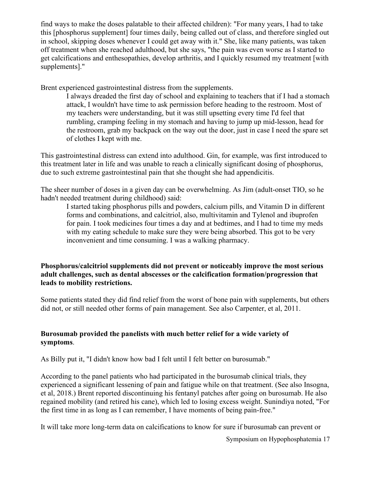find ways to make the doses palatable to their affected children): "For many years, I had to take this [phosphorus supplement] four times daily, being called out of class, and therefore singled out in school, skipping doses whenever I could get away with it." She, like many patients, was taken off treatment when she reached adulthood, but she says, "the pain was even worse as I started to get calcifications and enthesopathies, develop arthritis, and I quickly resumed my treatment [with supplements]."

Brent experienced gastrointestinal distress from the supplements.

I always dreaded the first day of school and explaining to teachers that if I had a stomach attack, I wouldn't have time to ask permission before heading to the restroom. Most of my teachers were understanding, but it was still upsetting every time I'd feel that rumbling, cramping feeling in my stomach and having to jump up mid-lesson, head for the restroom, grab my backpack on the way out the door, just in case I need the spare set of clothes I kept with me.

This gastrointestinal distress can extend into adulthood. Gin, for example, was first introduced to this treatment later in life and was unable to reach a clinically significant dosing of phosphorus, due to such extreme gastrointestinal pain that she thought she had appendicitis.

The sheer number of doses in a given day can be overwhelming. As Jim (adult-onset TIO, so he hadn't needed treatment during childhood) said:

I started taking phosphorus pills and powders, calcium pills, and Vitamin D in different forms and combinations, and calcitriol, also, multivitamin and Tylenol and ibuprofen for pain. I took medicines four times a day and at bedtimes, and I had to time my meds with my eating schedule to make sure they were being absorbed. This got to be very inconvenient and time consuming. I was a walking pharmacy.

## **Phosphorus/calcitriol supplements did not prevent or noticeably improve the most serious adult challenges, such as dental abscesses or the calcification formation/progression that leads to mobility restrictions.**

Some patients stated they did find relief from the worst of bone pain with supplements, but others did not, or still needed other forms of pain management. See also Carpenter, et al, 2011.

## **Burosumab provided the panelists with much better relief for a wide variety of symptoms**.

As Billy put it, "I didn't know how bad I felt until I felt better on burosumab."

According to the panel patients who had participated in the burosumab clinical trials, they experienced a significant lessening of pain and fatigue while on that treatment. (See also Insogna, et al, 2018.) Brent reported discontinuing his fentanyl patches after going on burosumab. He also regained mobility (and retired his cane), which led to losing excess weight. Sunindiya noted, "For the first time in as long as I can remember, I have moments of being pain-free."

It will take more long-term data on calcifications to know for sure if burosumab can prevent or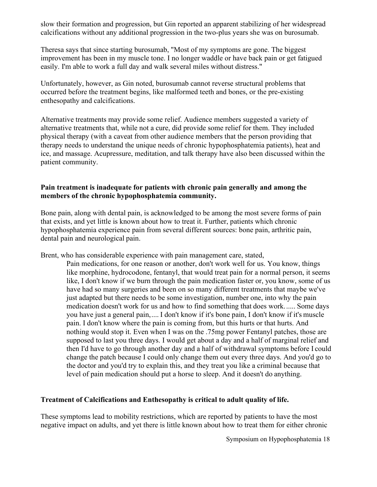slow their formation and progression, but Gin reported an apparent stabilizing of her widespread calcifications without any additional progression in the two-plus years she was on burosumab.

Theresa says that since starting burosumab, "Most of my symptoms are gone. The biggest improvement has been in my muscle tone. I no longer waddle or have back pain or get fatigued easily. I'm able to work a full day and walk several miles without distress."

Unfortunately, however, as Gin noted, burosumab cannot reverse structural problems that occurred before the treatment begins, like malformed teeth and bones, or the pre-existing enthesopathy and calcifications.

Alternative treatments may provide some relief. Audience members suggested a variety of alternative treatments that, while not a cure, did provide some relief for them. They included physical therapy (with a caveat from other audience members that the person providing that therapy needs to understand the unique needs of chronic hypophosphatemia patients), heat and ice, and massage. Acupressure, meditation, and talk therapy have also been discussed within the patient community.

#### **Pain treatment is inadequate for patients with chronic pain generally and among the members of the chronic hypophosphatemia community.**

Bone pain, along with dental pain, is acknowledged to be among the most severe forms of pain that exists, and yet little is known about how to treat it. Further, patients which chronic hypophosphatemia experience pain from several different sources: bone pain, arthritic pain, dental pain and neurological pain.

Brent, who has considerable experience with pain management care, stated,

Pain medications, for one reason or another, don't work well for us. You know, things like morphine, hydrocodone, fentanyl, that would treat pain for a normal person, it seems like, I don't know if we burn through the pain medication faster or, you know, some of us have had so many surgeries and been on so many different treatments that maybe we've just adapted but there needs to be some investigation, number one, into why the pain medication doesn't work for us and how to find something that does work. ..... Some days you have just a general pain, .... I don't know if it's bone pain, I don't know if it's muscle pain. I don't know where the pain is coming from, but this hurts or that hurts. And nothing would stop it. Even when I was on the .75mg power Fentanyl patches, those are supposed to last you three days. I would get about a day and a half of marginal relief and then I'd have to go through another day and a half of withdrawal symptoms before I could change the patch because I could only change them out every three days. And you'd go to the doctor and you'd try to explain this, and they treat you like a criminal because that level of pain medication should put a horse to sleep. And it doesn't do anything.

## **Treatment of Calcifications and Enthesopathy is critical to adult quality of life.**

These symptoms lead to mobility restrictions, which are reported by patients to have the most negative impact on adults, and yet there is little known about how to treat them for either chronic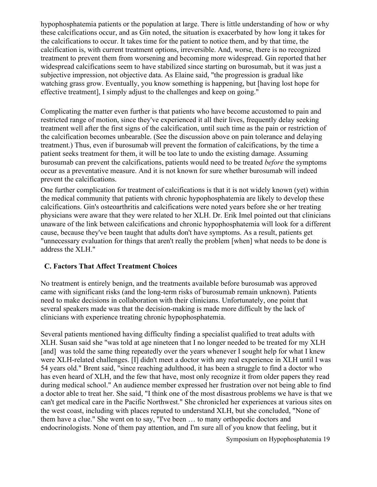hypophosphatemia patients or the population at large. There is little understanding of how or why these calcifications occur, and as Gin noted, the situation is exacerbated by how long it takes for the calcifications to occur. It takes time for the patient to notice them, and by that time, the calcification is, with current treatment options, irreversible. And, worse, there is no recognized treatment to prevent them from worsening and becoming more widespread. Gin reported that her widespread calcifications seem to have stabilized since starting on burosumab, but it was just a subjective impression, not objective data. As Elaine said, "the progression is gradual like watching grass grow. Eventually, you know something is happening, but [having lost hope for effective treatment], I simply adjust to the challenges and keep on going."

Complicating the matter even further is that patients who have become accustomed to pain and restricted range of motion, since they've experienced it all their lives, frequently delay seeking treatment well after the first signs of the calcification, until such time as the pain or restriction of the calcification becomes unbearable. (See the discussion above on pain tolerance and delaying treatment.) Thus, even if burosumab will prevent the formation of calcifications, by the time a patient seeks treatment for them, it will be too late to undo the existing damage. Assuming burosumab can prevent the calcifications, patients would need to be treated *before* the symptoms occur as a preventative measure. And it is not known for sure whether burosumab will indeed prevent the calcifications.

One further complication for treatment of calcifications is that it is not widely known (yet) within the medical community that patients with chronic hypophosphatemia are likely to develop these calcifications. Gin's osteoarthritis and calcifications were noted years before she or her treating physicians were aware that they were related to her XLH. Dr. Erik Imel pointed out that clinicians unaware of the link between calcifications and chronic hypophosphatemia will look for a different cause, because they've been taught that adults don't have symptoms. As a result, patients get "unnecessary evaluation for things that aren't really the problem [when] what needs to be done is address the XLH."

## **C. Factors That Affect Treatment Choices**

No treatment is entirely benign, and the treatments available before burosumab was approved came with significant risks (and the long-term risks of burosumab remain unknown). Patients need to make decisions in collaboration with their clinicians. Unfortunately, one point that several speakers made was that the decision-making is made more difficult by the lack of clinicians with experience treating chronic hypophosphatemia.

Several patients mentioned having difficulty finding a specialist qualified to treat adults with XLH. Susan said she "was told at age nineteen that I no longer needed to be treated for my XLH [and] was told the same thing repeatedly over the years whenever I sought help for what I knew were XLH-related challenges. [I] didn't meet a doctor with any real experience in XLH until I was 54 years old." Brent said, "since reaching adulthood, it has been a struggle to find a doctor who has even heard of XLH, and the few that have, most only recognize it from older papers they read during medical school." An audience member expressed her frustration over not being able to find a doctor able to treat her. She said, "I think one of the most disastrous problems we have is that we can't get medical care in the Pacific Northwest." She chronicled her experiences at various sites on the west coast, including with places reputed to understand XLH, but she concluded, "None of them have a clue." She went on to say, "I've been … to many orthopedic doctors and endocrinologists. None of them pay attention, and I'm sure all of you know that feeling, but it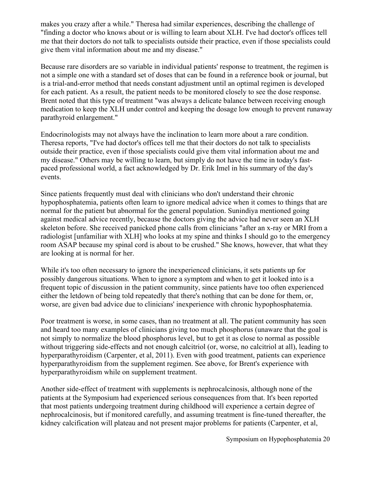makes you crazy after a while." Theresa had similar experiences, describing the challenge of "finding a doctor who knows about or is willing to learn about XLH. I've had doctor's offices tell me that their doctors do not talk to specialists outside their practice, even if those specialists could give them vital information about me and my disease."

Because rare disorders are so variable in individual patients' response to treatment, the regimen is not a simple one with a standard set of doses that can be found in a reference book or journal, but is a trial-and-error method that needs constant adjustment until an optimal regimen is developed for each patient. As a result, the patient needs to be monitored closely to see the dose response. Brent noted that this type of treatment "was always a delicate balance between receiving enough medication to keep the XLH under control and keeping the dosage low enough to prevent runaway parathyroid enlargement."

Endocrinologists may not always have the inclination to learn more about a rare condition. Theresa reports, "I've had doctor's offices tell me that their doctors do not talk to specialists outside their practice, even if those specialists could give them vital information about me and my disease." Others may be willing to learn, but simply do not have the time in today's fastpaced professional world, a fact acknowledged by Dr. Erik Imel in his summary of the day's events.

Since patients frequently must deal with clinicians who don't understand their chronic hypophosphatemia, patients often learn to ignore medical advice when it comes to things that are normal for the patient but abnormal for the general population. Sunindiya mentioned going against medical advice recently, because the doctors giving the advice had never seen an XLH skeleton before. She received panicked phone calls from clinicians "after an x-ray or MRI from a radiologist [unfamiliar with XLH] who looks at my spine and thinks I should go to the emergency room ASAP because my spinal cord is about to be crushed." She knows, however, that what they are looking at is normal for her.

While it's too often necessary to ignore the inexperienced clinicians, it sets patients up for possibly dangerous situations. When to ignore a symptom and when to get it looked into is a frequent topic of discussion in the patient community, since patients have too often experienced either the letdown of being told repeatedly that there's nothing that can be done for them, or, worse, are given bad advice due to clinicians' inexperience with chronic hypophosphatemia.

Poor treatment is worse, in some cases, than no treatment at all. The patient community has seen and heard too many examples of clinicians giving too much phosphorus (unaware that the goal is not simply to normalize the blood phosphorus level, but to get it as close to normal as possible without triggering side-effects and not enough calcitriol (or, worse, no calcitriol at all), leading to hyperparathyroidism (Carpenter, et al, 2011). Even with good treatment, patients can experience hyperparathyroidism from the supplement regimen. See above, for Brent's experience with hyperparathyroidism while on supplement treatment.

Another side-effect of treatment with supplements is nephrocalcinosis, although none of the patients at the Symposium had experienced serious consequences from that. It's been reported that most patients undergoing treatment during childhood will experience a certain degree of nephrocalcinosis, but if monitored carefully, and assuming treatment is fine-tuned thereafter, the kidney calcification will plateau and not present major problems for patients (Carpenter, et al,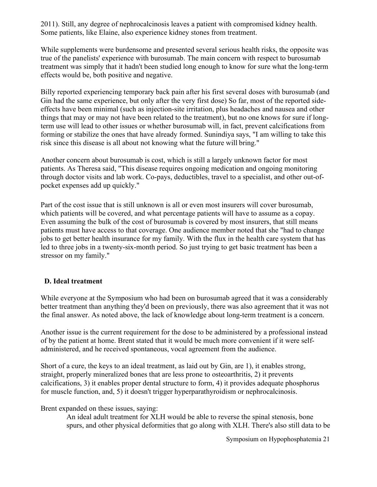2011). Still, any degree of nephrocalcinosis leaves a patient with compromised kidney health. Some patients, like Elaine, also experience kidney stones from treatment.

While supplements were burdensome and presented several serious health risks, the opposite was true of the panelists' experience with burosumab. The main concern with respect to burosumab treatment was simply that it hadn't been studied long enough to know for sure what the long-term effects would be, both positive and negative.

Billy reported experiencing temporary back pain after his first several doses with burosumab (and Gin had the same experience, but only after the very first dose) So far, most of the reported sideeffects have been minimal (such as injection-site irritation, plus headaches and nausea and other things that may or may not have been related to the treatment), but no one knows for sure if longterm use will lead to other issues or whether burosumab will, in fact, prevent calcifications from forming or stabilize the ones that have already formed. Sunindiya says, "I am willing to take this risk since this disease is all about not knowing what the future will bring."

Another concern about burosumab is cost, which is still a largely unknown factor for most patients. As Theresa said, "This disease requires ongoing medication and ongoing monitoring through doctor visits and lab work. Co-pays, deductibles, travel to a specialist, and other out-ofpocket expenses add up quickly."

Part of the cost issue that is still unknown is all or even most insurers will cover burosumab, which patients will be covered, and what percentage patients will have to assume as a copay. Even assuming the bulk of the cost of burosumab is covered by most insurers, that still means patients must have access to that coverage. One audience member noted that she "had to change jobs to get better health insurance for my family. With the flux in the health care system that has led to three jobs in a twenty-six-month period. So just trying to get basic treatment has been a stressor on my family."

## **D. Ideal treatment**

While everyone at the Symposium who had been on burosumab agreed that it was a considerably better treatment than anything they'd been on previously, there was also agreement that it was not the final answer. As noted above, the lack of knowledge about long-term treatment is a concern.

Another issue is the current requirement for the dose to be administered by a professional instead of by the patient at home. Brent stated that it would be much more convenient if it were selfadministered, and he received spontaneous, vocal agreement from the audience.

Short of a cure, the keys to an ideal treatment, as laid out by Gin, are 1), it enables strong, straight, properly mineralized bones that are less prone to osteoarthritis, 2) it prevents calcifications, 3) it enables proper dental structure to form, 4) it provides adequate phosphorus for muscle function, and, 5) it doesn't trigger hyperparathyroidism or nephrocalcinosis.

Brent expanded on these issues, saying:

An ideal adult treatment for XLH would be able to reverse the spinal stenosis, bone spurs, and other physical deformities that go along with XLH. There's also still data to be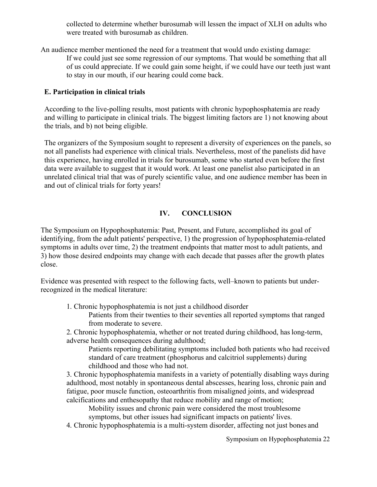collected to determine whether burosumab will lessen the impact of XLH on adults who were treated with burosumab as children.

An audience member mentioned the need for a treatment that would undo existing damage: If we could just see some regression of our symptoms. That would be something that all of us could appreciate. If we could gain some height, if we could have our teeth just want to stay in our mouth, if our hearing could come back.

#### **E. Participation in clinical trials**

According to the live-polling results, most patients with chronic hypophosphatemia are ready and willing to participate in clinical trials. The biggest limiting factors are 1) not knowing about the trials, and b) not being eligible.

The organizers of the Symposium sought to represent a diversity of experiences on the panels, so not all panelists had experience with clinical trials. Nevertheless, most of the panelists did have this experience, having enrolled in trials for burosumab, some who started even before the first data were available to suggest that it would work. At least one panelist also participated in an unrelated clinical trial that was of purely scientific value, and one audience member has been in and out of clinical trials for forty years!

## **IV. CONCLUSION**

The Symposium on Hypophosphatemia: Past, Present, and Future, accomplished its goal of identifying, from the adult patients' perspective, 1) the progression of hypophosphatemia-related symptoms in adults over time, 2) the treatment endpoints that matter most to adult patients, and 3) how those desired endpoints may change with each decade that passes after the growth plates close.

Evidence was presented with respect to the following facts, well–known to patients but underrecognized in the medical literature:

1. Chronic hypophosphatemia is not just a childhood disorder

Patients from their twenties to their seventies all reported symptoms that ranged from moderate to severe.

2. Chronic hypophosphatemia, whether or not treated during childhood, has long-term, adverse health consequences during adulthood;

Patients reporting debilitating symptoms included both patients who had received standard of care treatment (phosphorus and calcitriol supplements) during childhood and those who had not.

3. Chronic hypophosphatemia manifests in a variety of potentially disabling ways during adulthood, most notably in spontaneous dental abscesses, hearing loss, chronic pain and fatigue, poor muscle function, osteoarthritis from misaligned joints, and widespread calcifications and enthesopathy that reduce mobility and range of motion;

Mobility issues and chronic pain were considered the most troublesome

symptoms, but other issues had significant impacts on patients' lives.

4. Chronic hypophosphatemia is a multi-system disorder, affecting not just bones and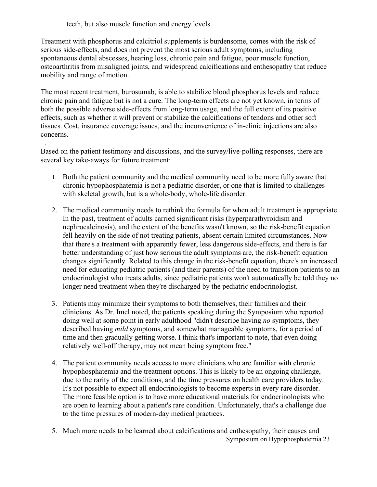teeth, but also muscle function and energy levels.

Treatment with phosphorus and calcitriol supplements is burdensome, comes with the risk of serious side-effects, and does not prevent the most serious adult symptoms, including spontaneous dental abscesses, hearing loss, chronic pain and fatigue, poor muscle function, osteoarthritis from misaligned joints, and widespread calcifications and enthesopathy that reduce mobility and range of motion.

The most recent treatment, burosumab, is able to stabilize blood phosphorus levels and reduce chronic pain and fatigue but is not a cure. The long-term effects are not yet known, in terms of both the possible adverse side-effects from long-term usage, and the full extent of its positive effects, such as whether it will prevent or stabilize the calcifications of tendons and other soft tissues. Cost, insurance coverage issues, and the inconvenience of in-clinic injections are also concerns.

- . Based on the patient testimony and discussions, and the survey/live-polling responses, there are several key take-aways for future treatment:
	- 1. Both the patient community and the medical community need to be more fully aware that chronic hypophosphatemia is not a pediatric disorder, or one that is limited to challenges with skeletal growth, but is a whole-body, whole-life disorder.
	- 2. The medical community needs to rethink the formula for when adult treatment is appropriate. In the past, treatment of adults carried significant risks (hyperparathyroidism and nephrocalcinosis), and the extent of the benefits wasn't known, so the risk-benefit equation fell heavily on the side of not treating patients, absent certain limited circumstances. Now that there's a treatment with apparently fewer, less dangerous side-effects, and there is far better understanding of just how serious the adult symptoms are, the risk-benefit equation changes significantly. Related to this change in the risk-benefit equation, there's an increased need for educating pediatric patients (and their parents) of the need to transition patients to an endocrinologist who treats adults, since pediatric patients won't automatically be told they no longer need treatment when they're discharged by the pediatric endocrinologist.
	- 3. Patients may minimize their symptoms to both themselves, their families and their clinicians. As Dr. Imel noted, the patients speaking during the Symposium who reported doing well at some point in early adulthood "didn't describe having *no* symptoms, they described having *mild* symptoms, and somewhat manageable symptoms, for a period of time and then gradually getting worse. I think that's important to note, that even doing relatively well-off therapy, may not mean being symptom free."
	- 4. The patient community needs access to more clinicians who are familiar with chronic hypophosphatemia and the treatment options. This is likely to be an ongoing challenge, due to the rarity of the conditions, and the time pressures on health care providers today. It's not possible to expect all endocrinologists to become experts in every rare disorder. The more feasible option is to have more educational materials for endocrinologists who are open to learning about a patient's rare condition. Unfortunately, that's a challenge due to the time pressures of modern-day medical practices.
	- Symposium on Hypophosphatemia 23 5. Much more needs to be learned about calcifications and enthesopathy, their causes and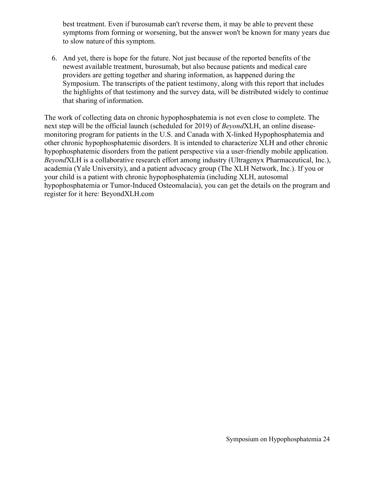best treatment. Even if burosumab can't reverse them, it may be able to prevent these symptoms from forming or worsening, but the answer won't be known for many years due to slow nature of this symptom.

6. And yet, there is hope for the future. Not just because of the reported benefits of the newest available treatment, burosumab, but also because patients and medical care providers are getting together and sharing information, as happened during the Symposium. The transcripts of the patient testimony, along with this report that includes the highlights of that testimony and the survey data, will be distributed widely to continue that sharing of information.

The work of collecting data on chronic hypophosphatemia is not even close to complete. The next step will be the official launch (scheduled for 2019) of *Beyond*XLH, an online diseasemonitoring program for patients in the U.S. and Canada with X-linked Hypophosphatemia and other chronic hypophosphatemic disorders. It is intended to characterize XLH and other chronic hypophosphatemic disorders from the patient perspective via a user-friendly mobile application. *Beyond*XLH is a collaborative research effort among industry (Ultragenyx Pharmaceutical, Inc.), academia (Yale University), and a patient advocacy group (The XLH Network, Inc.). If you or your child is a patient with chronic hypophosphatemia (including XLH, autosomal hypophosphatemia or Tumor-Induced Osteomalacia), you can get the details on the program and register for it here: BeyondXLH.com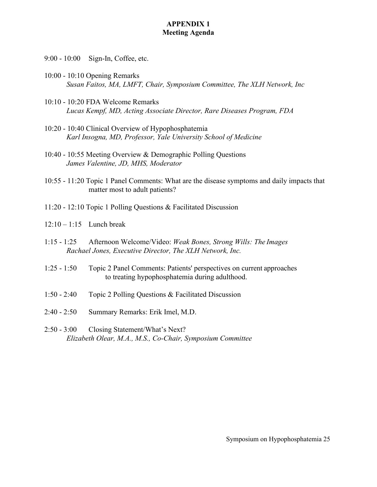#### **APPENDIX 1 Meeting Agenda**

- 9:00 10:00 Sign-In, Coffee, etc.
- 10:00 10:10 Opening Remarks *Susan Faitos, MA, LMFT, Chair, Symposium Committee, The XLH Network, Inc*
- 10:10 10:20 FDA Welcome Remarks *Lucas Kempf, MD, Acting Associate Director, Rare Diseases Program, FDA*
- 10:20 10:40 Clinical Overview of Hypophosphatemia *Karl Insogna, MD, Professor, Yale University School of Medicine*
- 10:40 10:55 Meeting Overview & Demographic Polling Questions *James Valentine, JD, MHS, Moderator*
- 10:55 11:20 Topic 1 Panel Comments: What are the disease symptoms and daily impacts that matter most to adult patients?
- 11:20 12:10 Topic 1 Polling Questions & Facilitated Discussion
- $12:10 1:15$  Lunch break
- 1:15 1:25 Afternoon Welcome/Video: *Weak Bones, Strong Wills: The Images Rachael Jones, Executive Director, The XLH Network, Inc.*
- 1:25 1:50 Topic 2 Panel Comments: Patients' perspectives on current approaches to treating hypophosphatemia during adulthood.
- 1:50 2:40 Topic 2 Polling Questions & Facilitated Discussion
- 2:40 2:50 Summary Remarks: Erik Imel, M.D.
- 2:50 3:00 Closing Statement/What's Next? *Elizabeth Olear, M.A., M.S., Co-Chair, Symposium Committee*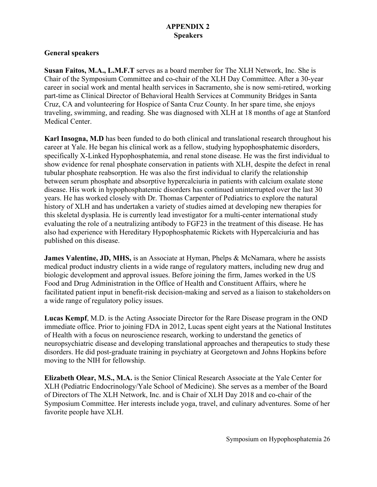# **APPENDIX 2 Speakers**

## **General speakers**

**Susan Faitos, M.A., L.M.F.T** serves as a board member for The XLH Network, Inc. She is Chair of the Symposium Committee and co-chair of the XLH Day Committee. After a 30-year career in social work and mental health services in Sacramento, she is now semi-retired, working part-time as Clinical Director of Behavioral Health Services at Community Bridges in Santa Cruz, CA and volunteering for Hospice of Santa Cruz County. In her spare time, she enjoys traveling, swimming, and reading. She was diagnosed with XLH at 18 months of age at Stanford Medical Center.

**Karl Insogna, M.D** has been funded to do both clinical and translational research throughout his career at Yale. He began his clinical work as a fellow, studying hypophosphatemic disorders, specifically X-Linked Hypophosphatemia, and renal stone disease. He was the first individual to show evidence for renal phosphate conservation in patients with XLH, despite the defect in renal tubular phosphate reabsorption. He was also the first individual to clarify the relationship between serum phosphate and absorptive hypercalciuria in patients with calcium oxalate stone disease. His work in hypophosphatemic disorders has continued uninterrupted over the last 30 years. He has worked closely with Dr. Thomas Carpenter of Pediatrics to explore the natural history of XLH and has undertaken a variety of studies aimed at developing new therapies for this skeletal dysplasia. He is currently lead investigator for a multi-center international study evaluating the role of a neutralizing antibody to FGF23 in the treatment of this disease. He has also had experience with Hereditary Hypophosphatemic Rickets with Hypercalciuria and has published on this disease.

**James Valentine, JD, MHS,** is an Associate at Hyman, Phelps & McNamara, where he assists medical product industry clients in a wide range of regulatory matters, including new drug and biologic development and approval issues. Before joining the firm, James worked in the US Food and Drug Administration in the Office of Health and Constituent Affairs, where he facilitated patient input in benefit-risk decision-making and served as a liaison to stakeholders on a wide range of regulatory policy issues.

**Lucas Kempf**, M.D. is the Acting Associate Director for the Rare Disease program in the OND immediate office. Prior to joining FDA in 2012, Lucas spent eight years at the National Institutes of Health with a focus on neuroscience research, working to understand the genetics of neuropsychiatric disease and developing translational approaches and therapeutics to study these disorders. He did post-graduate training in psychiatry at Georgetown and Johns Hopkins before moving to the NIH for fellowship.

**Elizabeth Olear, M.S., M.A.** is the Senior Clinical Research Associate at the Yale Center for XLH (Pediatric Endocrinology/Yale School of Medicine). She serves as a member of the Board of Directors of The XLH Network, Inc. and is Chair of XLH Day 2018 and co-chair of the Symposium Committee. Her interests include yoga, travel, and culinary adventures. Some of her favorite people have XLH.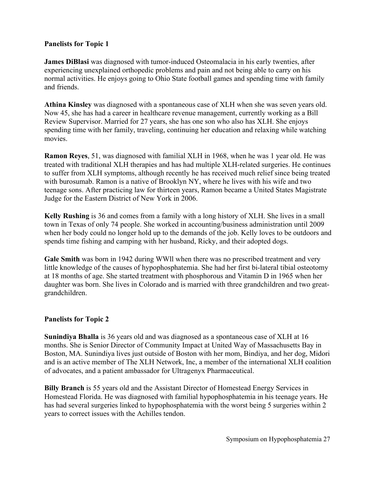## **Panelists for Topic 1**

**James DiBlasi** was diagnosed with tumor-induced Osteomalacia in his early twenties, after experiencing unexplained orthopedic problems and pain and not being able to carry on his normal activities. He enjoys going to Ohio State football games and spending time with family and friends.

**Athina Kinsley** was diagnosed with a spontaneous case of XLH when she was seven years old. Now 45, she has had a career in healthcare revenue management, currently working as a Bill Review Supervisor. Married for 27 years, she has one son who also has XLH. She enjoys spending time with her family, traveling, continuing her education and relaxing while watching movies.

**Ramon Reyes**, 51, was diagnosed with familial XLH in 1968, when he was 1 year old. He was treated with traditional XLH therapies and has had multiple XLH-related surgeries. He continues to suffer from XLH symptoms, although recently he has received much relief since being treated with burosumab. Ramon is a native of Brooklyn NY, where he lives with his wife and two teenage sons. After practicing law for thirteen years, Ramon became a United States Magistrate Judge for the Eastern District of New York in 2006.

**Kelly Rushing** is 36 and comes from a family with a long history of XLH. She lives in a small town in Texas of only 74 people. She worked in accounting/business administration until 2009 when her body could no longer hold up to the demands of the job. Kelly loves to be outdoors and spends time fishing and camping with her husband, Ricky, and their adopted dogs.

**Gale Smith** was born in 1942 during WWll when there was no prescribed treatment and very little knowledge of the causes of hypophosphatemia. She had her first bi-lateral tibial osteotomy at 18 months of age. She started treatment with phosphorous and Vitamin D in 1965 when her daughter was born. She lives in Colorado and is married with three grandchildren and two greatgrandchildren.

## **Panelists for Topic 2**

**Sunindiya Bhalla** is 36 years old and was diagnosed as a spontaneous case of XLH at 16 months. She is Senior Director of Community Impact at United Way of Massachusetts Bay in Boston, MA. Sunindiya lives just outside of Boston with her mom, Bindiya, and her dog, Midori and is an active member of The XLH Network, Inc, a member of the international XLH coalition of advocates, and a patient ambassador for Ultragenyx Pharmaceutical.

**Billy Branch** is 55 years old and the Assistant Director of Homestead Energy Services in Homestead Florida. He was diagnosed with familial hypophosphatemia in his teenage years. He has had several surgeries linked to hypophosphatemia with the worst being 5 surgeries within 2 years to correct issues with the Achilles tendon.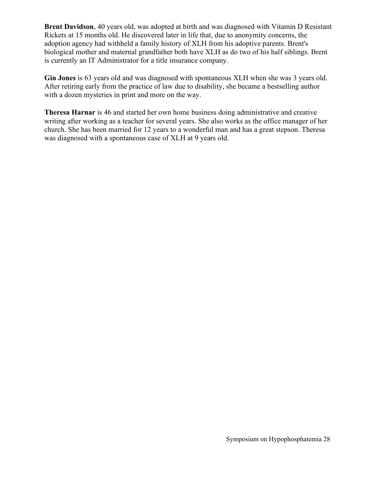**Brent Davidson**, 40 years old, was adopted at birth and was diagnosed with Vitamin D Resistant Rickets at 15 months old. He discovered later in life that, due to anonymity concerns, the adoption agency had withheld a family history of XLH from his adoptive parents. Brent's biological mother and maternal grandfather both have XLH as do two of his half siblings. Brent is currently an IT Administrator for a title insurance company.

**Gin Jones** is 63 years old and was diagnosed with spontaneous XLH when she was 3 years old. After retiring early from the practice of law due to disability, she became a bestselling author with a dozen mysteries in print and more on the way.

**Theresa Harnar** is 46 and started her own home business doing administrative and creative writing after working as a teacher for several years. She also works as the office manager of her church. She has been married for 12 years to a wonderful man and has a great stepson. Theresa was diagnosed with a spontaneous case of XLH at 9 years old.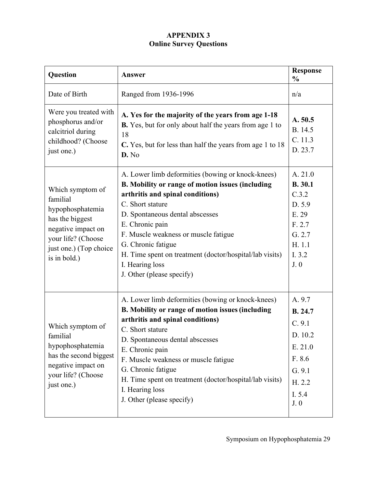# **APPENDIX 3 Online Survey Questions**

| Question                                                                                                                                                  | Answer                                                                                                                                                                                                                                                                                                                                                                                       | <b>Response</b><br>$\frac{0}{0}$                                                                        |
|-----------------------------------------------------------------------------------------------------------------------------------------------------------|----------------------------------------------------------------------------------------------------------------------------------------------------------------------------------------------------------------------------------------------------------------------------------------------------------------------------------------------------------------------------------------------|---------------------------------------------------------------------------------------------------------|
| Date of Birth                                                                                                                                             | Ranged from 1936-1996                                                                                                                                                                                                                                                                                                                                                                        | n/a                                                                                                     |
| Were you treated with<br>phosphorus and/or<br>calcitriol during<br>childhood? (Choose<br>just one.)                                                       | A. Yes for the majority of the years from age 1-18<br>B. Yes, but for only about half the years from age 1 to<br>18<br>C. Yes, but for less than half the years from age 1 to 18<br>D. No                                                                                                                                                                                                    | A. 50.5<br>B. 14.5<br>C. 11.3<br>D. 23.7                                                                |
| Which symptom of<br>familial<br>hypophosphatemia<br>has the biggest<br>negative impact on<br>your life? (Choose<br>just one.) (Top choice<br>is in bold.) | A. Lower limb deformities (bowing or knock-knees)<br>B. Mobility or range of motion issues (including<br>arthritis and spinal conditions)<br>C. Short stature<br>D. Spontaneous dental abscesses<br>E. Chronic pain<br>F. Muscle weakness or muscle fatigue<br>G. Chronic fatigue<br>H. Time spent on treatment (doctor/hospital/lab visits)<br>I. Hearing loss<br>J. Other (please specify) | A. 21.0<br><b>B.</b> 30.1<br>C.3.2<br>D. 5.9<br>E. 29<br>F. 2.7<br>G. 2.7<br>H. 1.1<br>I. 3.2<br>J.0    |
| Which symptom of<br>familial<br>hypophosphatemia<br>has the second biggest<br>negative impact on<br>your life? (Choose<br>just one.)                      | A. Lower limb deformities (bowing or knock-knees)<br>B. Mobility or range of motion issues (including<br>arthritis and spinal conditions)<br>C. Short stature<br>D. Spontaneous dental abscesses<br>E. Chronic pain<br>F. Muscle weakness or muscle fatigue<br>G. Chronic fatigue<br>H. Time spent on treatment (doctor/hospital/lab visits)<br>I. Hearing loss<br>J. Other (please specify) | A. 9.7<br><b>B.</b> 24.7<br>C. 9.1<br>D. 10.2<br>E. 21.0<br>F. 8.6<br>G. 9.1<br>H. 2.2<br>I. 5.4<br>J.0 |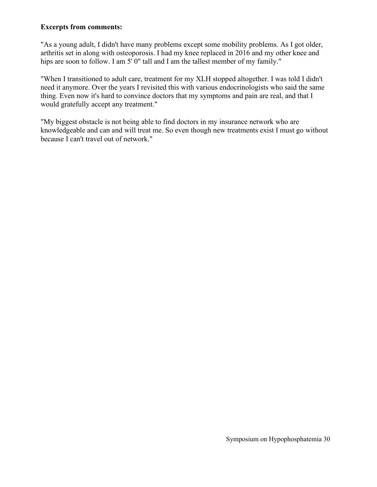## **Excerpts from comments:**

"As a young adult, I didn't have many problems except some mobility problems. As I got older, arthritis set in along with osteoporosis. I had my knee replaced in 2016 and my other knee and hips are soon to follow. I am 5' 0" tall and I am the tallest member of my family."

"When I transitioned to adult care, treatment for my XLH stopped altogether. I was told I didn't need it anymore. Over the years I revisited this with various endocrinologists who said the same thing. Even now it's hard to convince doctors that my symptoms and pain are real, and that I would gratefully accept any treatment."

"My biggest obstacle is not being able to find doctors in my insurance network who are knowledgeable and can and will treat me. So even though new treatments exist I must go without because I can't travel out of network."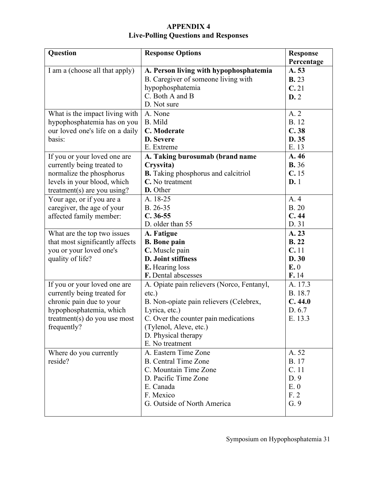# **APPENDIX 4 Live-Polling Questions and Responses**

| <b>Question</b>                                                                                                                                                                                                                               | <b>Response Options</b>                                                                                                                                                                                                        | <b>Response</b><br>Percentage                                                          |
|-----------------------------------------------------------------------------------------------------------------------------------------------------------------------------------------------------------------------------------------------|--------------------------------------------------------------------------------------------------------------------------------------------------------------------------------------------------------------------------------|----------------------------------------------------------------------------------------|
| I am a (choose all that apply)                                                                                                                                                                                                                | A. Person living with hypophosphatemia<br>B. Caregiver of someone living with<br>hypophosphatemia<br>C. Both A and B                                                                                                           | A. 53<br><b>B.</b> 23<br>C.21<br>D.2                                                   |
| What is the impact living with<br>hypophosphatemia has on you<br>our loved one's life on a daily<br>basis:<br>If you or your loved one are<br>currently being treated to<br>normalize the phosphorus                                          | D. Not sure<br>A. None<br>B. Mild<br>C. Moderate<br>D. Severe<br>E. Extreme<br>A. Taking burosumab (brand name<br>Crysvita)<br><b>B.</b> Taking phosphorus and calcitriol<br>C. No treatment                                   | A. 2<br><b>B.</b> 12<br>C.38<br>D. 35<br>E. 13<br>A. 46<br><b>B.</b> 36<br>C.15<br>D.1 |
| levels in your blood, which<br>treatment(s) are you using?<br>Your age, or if you are a<br>caregiver, the age of your<br>affected family member:<br>What are the top two issues<br>that most significantly affects<br>you or your loved one's | D. Other<br>A. 18-25<br>B. 26-35<br>$C.36-55$<br>D. older than 55<br>A. Fatigue<br><b>B.</b> Bone pain<br>C. Muscle pain                                                                                                       | A. 4<br><b>B.20</b><br>C.44<br>D. 31<br>A. 23<br><b>B.22</b><br>C.11                   |
| quality of life?                                                                                                                                                                                                                              | D. Joint stiffness<br>E. Hearing loss<br>F. Dental abscesses                                                                                                                                                                   | D. 30<br>E.0<br>F.14                                                                   |
| If you or your loved one are<br>currently being treated for<br>chronic pain due to your<br>hypophosphatemia, which<br>treatment(s) do you use most<br>frequently?                                                                             | A. Opiate pain relievers (Norco, Fentanyl,<br>$etc.$ )<br>B. Non-opiate pain relievers (Celebrex,<br>Lyrica, etc.)<br>C. Over the counter pain medications<br>(Tylenol, Aleve, etc.)<br>D. Physical therapy<br>E. No treatment | A. 17.3<br>B. 18.7<br>C.44.0<br>D. 6.7<br>E. 13.3                                      |
| Where do you currently<br>reside?                                                                                                                                                                                                             | A. Eastern Time Zone<br><b>B.</b> Central Time Zone<br>C. Mountain Time Zone<br>D. Pacific Time Zone<br>E. Canada<br>F. Mexico<br>G. Outside of North America                                                                  | A. 52<br><b>B.</b> 17<br>C. 11<br>D.9<br>E. 0<br>F.2<br>G. 9                           |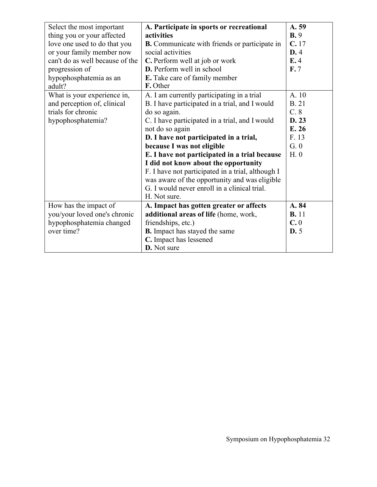| Select the most important       | A. Participate in sports or recreational             | A. 59        |
|---------------------------------|------------------------------------------------------|--------------|
| thing you or your affected      | activities                                           | B.9          |
| love one used to do that you    | <b>B.</b> Communicate with friends or participate in | C.17         |
| or your family member now       | social activities                                    | D.4          |
| can't do as well because of the | C. Perform well at job or work                       | E.4          |
| progression of                  | D. Perform well in school                            | F.7          |
| hypophosphatemia as an          | E. Take care of family member                        |              |
| adult?                          | F. Other                                             |              |
| What is your experience in,     | A. I am currently participating in a trial           | A. 10        |
| and perception of, clinical     | B. I have participated in a trial, and I would       | <b>B.21</b>  |
| trials for chronic              | do so again.                                         | C.8          |
| hypophosphatemia?               | C. I have participated in a trial, and I would       | D. 23        |
|                                 | not do so again                                      | E. 26        |
|                                 | D. I have not participated in a trial,               | F. 13        |
|                                 | because I was not eligible                           | G.0          |
|                                 | E. I have not participated in a trial because        | H. 0         |
|                                 | I did not know about the opportunity                 |              |
|                                 | F. I have not participated in a trial, although I    |              |
|                                 | was aware of the opportunity and was eligible        |              |
|                                 | G. I would never enroll in a clinical trial.         |              |
|                                 | H. Not sure.                                         |              |
| How has the impact of           | A. Impact has gotten greater or affects              | A. 84        |
| you/your loved one's chronic    | additional areas of life (home, work,                | <b>B.</b> 11 |
| hypophosphatemia changed        | friendships, etc.)                                   | C.0          |
| over time?                      | <b>B.</b> Impact has stayed the same                 | D.5          |
|                                 | C. Impact has lessened                               |              |
|                                 | D. Not sure                                          |              |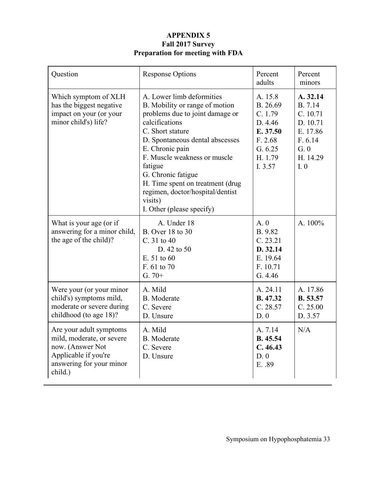# **APPENDIX 5 Fall 2017 Survey Preparation for meeting with FDA**

| Question                                                                                                                                | <b>Response Options</b>                                                                                                                                                                                                                                                                                                                                                     | Percent<br>adults                                                                                 | Percent<br>minors                                                                            |
|-----------------------------------------------------------------------------------------------------------------------------------------|-----------------------------------------------------------------------------------------------------------------------------------------------------------------------------------------------------------------------------------------------------------------------------------------------------------------------------------------------------------------------------|---------------------------------------------------------------------------------------------------|----------------------------------------------------------------------------------------------|
| Which symptom of XLH<br>has the biggest negative<br>impact on your (or your<br>minor child's) life?                                     | A. Lower limb deformities<br>B. Mobility or range of motion<br>problems due to joint damage or<br>calcifications<br>C. Short stature<br>D. Spontaneous dental abscesses<br>E. Chronic pain<br>F. Muscle weakness or muscle<br>fatigue<br>G. Chronic fatigue<br>H. Time spent on treatment (drug<br>regimen, doctor/hospital/dentist<br>visits)<br>I. Other (please specify) | A. 15.8<br>B. 26.69<br>C. 1.79<br>D. 4.46<br>E. 37.50<br>F. 2.68<br>G. 6.25<br>H. 1.79<br>I. 3.57 | A. 32.14<br>B. 7.14<br>C. 10.71<br>D. 10.71<br>E. 17.86<br>F. 6.14<br>G.0<br>H. 14.29<br>I.0 |
| What is your age (or if<br>answering for a minor child,<br>the age of the child)?                                                       | A. Under 18<br>B. Over 18 to 30<br>C. 31 to 40<br>D. 42 to 50<br>E. 51 to 60<br>F. 61 to 70<br>$G.70+$                                                                                                                                                                                                                                                                      | A.0<br>B. 9.82<br>C. 23.21<br>D. 32.14<br>E. 19.64<br>F. 10.71<br>G. 4.46                         | A. 100%                                                                                      |
| Were your (or your minor<br>child's) symptoms mild,<br>moderate or severe during<br>childhood (to age 18)?                              | A. Mild<br><b>B.</b> Moderate<br>C. Severe<br>D. Unsure                                                                                                                                                                                                                                                                                                                     | A. 24.11<br>B. 47.32<br>C. 28.57<br>D.0                                                           | A. 17.86<br>B. 53.57<br>C. 25.00<br>D. 3.57                                                  |
| Are your adult symptoms<br>mild, moderate, or severe<br>now. (Answer Not<br>Applicable if you're<br>answering for your minor<br>child.) | A. Mild<br><b>B.</b> Moderate<br>C. Severe<br>D. Unsure                                                                                                                                                                                                                                                                                                                     | A. 7.14<br>B. 45.54<br>C.46.43<br>D.0<br>E. .89                                                   | N/A                                                                                          |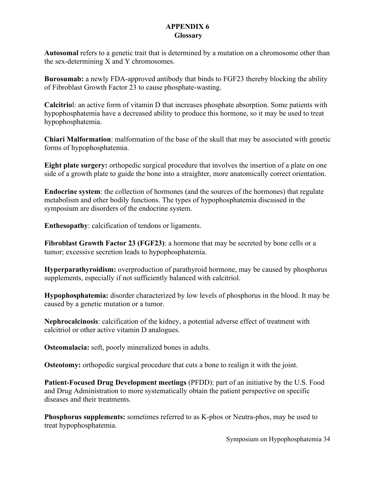## **APPENDIX 6 Glossary**

**Autosomal** refers to a genetic trait that is determined by a mutation on a chromosome other than the sex-determining X and Y chromosomes.

**Burosumab:** a newly FDA-approved antibody that binds to FGF23 thereby blocking the ability of Fibroblast Growth Factor 23 to cause phosphate-wasting.

**Calcitrio**l: an active form of vitamin D that increases phosphate absorption. Some patients with hypophosphatemia have a decreased ability to produce this hormone, so it may be used to treat hypophosphatemia.

**Chiari Malformation**: malformation of the base of the skull that may be associated with genetic forms of hypophosphatemia.

**Eight plate surgery:** orthopedic surgical procedure that involves the insertion of a plate on one side of a growth plate to guide the bone into a straighter, more anatomically correct orientation.

**Endocrine system**: the collection of hormones (and the sources of the hormones) that regulate metabolism and other bodily functions. The types of hypophosphatemia discussed in the symposium are disorders of the endocrine system.

**Enthesopathy**: calcification of tendons or ligaments.

**Fibroblast Growth Factor 23 (FGF23)**: a hormone that may be secreted by bone cells or a tumor; excessive secretion leads to hypophosphatemia.

**Hyperparathyroidism:** overproduction of parathyroid hormone, may be caused by phosphorus supplements, especially if not sufficiently balanced with calcitriol.

**Hypophosphatemia:** disorder characterized by low levels of phosphorus in the blood. It may be caused by a genetic mutation or a tumor.

**Nephrocalcinosis**: calcification of the kidney, a potential adverse effect of treatment with calcitriol or other active vitamin D analogues.

**Osteomalacia:** soft, poorly mineralized bones in adults.

**Osteotomy:** orthopedic surgical procedure that cuts a bone to realign it with the joint.

**Patient-Focused Drug Development meetings** (PFDD): part of an initiative by the U.S. Food and Drug Administration to more systematically obtain the patient perspective on specific diseases and their treatments.

**Phosphorus supplements:** sometimes referred to as K-phos or Neutra-phos, may be used to treat hypophosphatemia.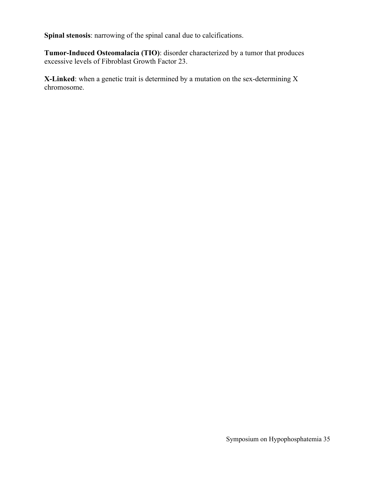**Spinal stenosis**: narrowing of the spinal canal due to calcifications.

**Tumor-Induced Osteomalacia (TIO)**: disorder characterized by a tumor that produces excessive levels of Fibroblast Growth Factor 23.

**X-Linked**: when a genetic trait is determined by a mutation on the sex-determining X chromosome.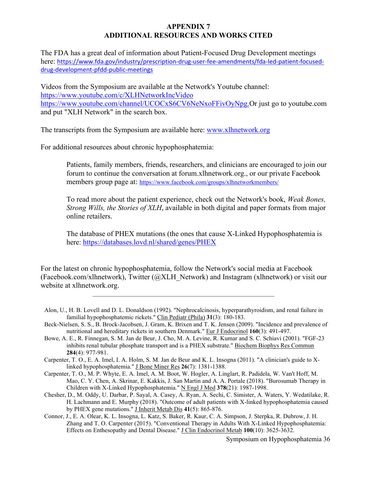#### **APPENDIX 7 ADDITIONAL RESOURCES AND WORKS CITED**

The FDA has a great deal of information about Patient-Focused Drug Development meetings here: [https://www.fda.gov/industry/prescription-drug-user-fee-amendments/fda-led-patient-focused](https://www.fda.gov/industry/prescription-drug-user-fee-amendments/fda-led-patient-focused-drug-development-pfdd-public-meetings)[drug-development-pfdd-public-meetings](https://www.fda.gov/industry/prescription-drug-user-fee-amendments/fda-led-patient-focused-drug-development-pfdd-public-meetings)

Videos from the Symposium are available at the Network's Youtube channel: <https://www.youtube.com/c/XLHNetworkIncVideo> [https://www.youtube.com/channel/UCOCxS6CV6NeNxoFFivOyNpg.O](https://www.youtube.com/channel/UCOCxS6CV6NeNxoFFivOyNpg)r just go to youtube.com and put "XLH Network" in the search box.

The transcripts from the Symposium are available here: [www.xlhnetwork.org](http://www.xlhnetwork.org/)

For additional resources about chronic hypophosphatemia:

Patients, family members, friends, researchers, and clinicians are encouraged to join our forum to continue the conversation at forum.xlhnetwork.org., or our private Facebook members group page at:<https://www.facebook.com/groups/xlhnetworkmembers/>

To read more about the patient experience, check out the Network's book, *Weak Bones, Strong Wills, the Stories of XLH*, available in both digital and paper formats from major online retailers.

The database of PHEX mutations (the ones that cause X-Linked Hypophosphatemia is here:<https://databases.lovd.nl/shared/genes/PHEX>

For the latest on chronic hypophosphatemia, follow the Network's social media at Facebook (Facebook.com/xlhnetwork), Twitter (@XLH\_Network) and Instagram (xlhnetwork) or visit our website at xlhnetwork.org.

- Alon, U., H. B. Lovell and D. L. Donaldson (1992). "Nephrocalcinosis, hyperparathyroidism, and renal failure in familial hypophosphatemic rickets." Clin Pediatr (Phila) **31**(3): 180-183.
- Beck-Nielsen, S. S., B. Brock-Jacobsen, J. Gram, K. Brixen and T. K. Jensen (2009). "Incidence and prevalence of nutritional and hereditary rickets in southern Denmark." Eur J Endocrinol **160**(3): 491-497.
- Bowe, A. E., R. Finnegan, S. M. Jan de Beur, J. Cho, M. A. Levine, R. Kumar and S. C. Schiavi (2001). "FGF-23 inhibits renal tubular phosphate transport and is a PHEX substrate." Biochem Biophys Res Commun **284**(4): 977-981.
- Carpenter, T. O., E. A. Imel, I. A. Holm, S. M. Jan de Beur and K. L. Insogna (2011). "A clinician's guide to Xlinked hypophosphatemia." J Bone Miner Res **26**(7): 1381-1388.
- Carpenter, T. O., M. P. Whyte, E. A. Imel, A. M. Boot, W. Hogler, A. Linglart, R. Padidela, W. Van't Hoff, M. Mao, C. Y. Chen, A. Skrinar, E. Kakkis, J. San Martin and A. A. Portale (2018). "Burosumab Therapy in Children with X-Linked Hypophosphatemia." N Engl J Med **378**(21): 1987-1998.
- Chesher, D., M. Oddy, U. Darbar, P. Sayal, A. Casey, A. Ryan, A. Sechi, C. Simister, A. Waters, Y. Wedatilake, R. H. Lachmann and E. Murphy (2018). "Outcome of adult patients with X-linked hypophosphatemia caused by PHEX gene mutations." J Inherit Metab Dis **41**(5): 865-876.
- Connor, J., E. A. Olear, K. L. Insogna, L. Katz, S. Baker, R. Kaur, C. A. Simpson, J. Sterpka, R. Dubrow, J. H. Zhang and T. O. Carpenter (2015). "Conventional Therapy in Adults With X-Linked Hypophosphatemia: Effects on Enthesopathy and Dental Disease." J Clin Endocrinol Metab **100**(10): 3625-3632.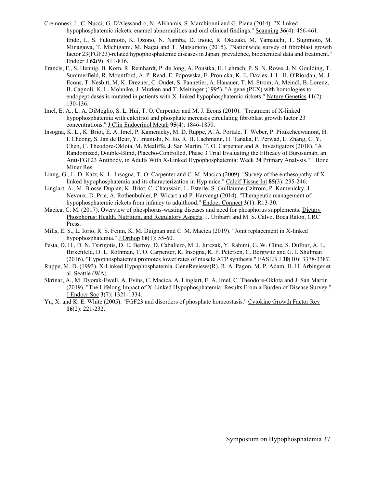Cremonesi, I., C. Nucci, G. D'Alessandro, N. Alkhamis, S. Marchionni and G. Piana (2014). "X-linked hypophosphatemic rickets: enamel abnormalities and oral clinical findings." Scanning **36**(4): 456-461.

Endo, I., S. Fukumoto, K. Ozono, N. Namba, D. Inoue, R. Okazaki, M. Yamauchi, T. Sugimoto, M. Minagawa, T. Michigami, M. Nagai and T. Matsumoto (2015). "Nationwide survey of fibroblast growth factor 23(FGF23)-related hypophosphatemic diseases in Japan: prevalence, biochemical data and treatment." Endocr J **62**(9): 811-816.

- Francis, F., S. Hennig, B. Korn, R. Reinhardt, P. de Jong, A. Poustka, H. Lehrach, P. S. N. Rowe, J. N. Goulding, T. Summerfield, R. Mountford, A. P. Read, E. Popowska, E. Pronicka, K. E. Davies, J. L. H. O'Riordan, M. J. Econs, T. Nesbitt, M. K. Drezner, C. Oudet, S. Pannetier, A. Hanauer, T. M. Strom, A. Meindl, B. Lorenz, B. Cagnoli, K. L. Mohnike, J. Murken and T. Meitinger (1995). "A gene (PEX) with homologies to endopeptidases is mutated in patients with X–linked hypophosphatemic rickets." Nature Genetics **11**(2): 130-136.
- Imel, E. A., L. A. DiMeglio, S. L. Hui, T. O. Carpenter and M. J. Econs (2010). "Treatment of X-linked hypophosphatemia with calcitriol and phosphate increases circulating fibroblast growth factor 23 concentrations." J Clin Endocrinol Metab **95**(4): 1846-1850.
- Insogna, K. L., K. Briot, E. A. Imel, P. Kamenicky, M. D. Ruppe, A. A. Portale, T. Weber, P. Pitukcheewanont, H. I. Cheong, S. Jan de Beur, Y. Imanishi, N. Ito, R. H. Lachmann, H. Tanaka, F. Perwad, L. Zhang, C. Y. Chen, C. Theodore-Oklota, M. Mealiffe, J. San Martin, T. O. Carpenter and A. Investigators (2018). "A Randomized, Double-Blind, Placebo-Controlled, Phase 3 Trial Evaluating the Efficacy of Burosumab, an Anti-FGF23 Antibody, in Adults With X-Linked Hypophosphatemia: Week 24 Primary Analysis." J Bone Miner Res.
- Liang, G., L. D. Katz, K. L. Insogna, T. O. Carpenter and C. M. Macica (2009). "Survey of the enthesopathy of Xlinked hypophosphatemia and its characterization in Hyp mice." Calcif Tissue Int **85**(3): 235-246.
- Linglart, A., M. Biosse-Duplan, K. Briot, C. Chaussain, L. Esterle, S. Guillaume-Czitrom, P. Kamenicky, J. Nevoux, D. Prie, A. Rothenbuhler, P. Wicart and P. Harvengt (2014). "Therapeutic management of hypophosphatemic rickets from infancy to adulthood." Endocr Connect **3**(1): R13-30.
- Macica, C. M. (2017). Overview of phosphorus-wasting diseases and need for phosphorus supplements. Dietary Phosphorus: Health, Nutrition, and Regulatory Aspects. J. Uribarri and M. S. Calvo. Boca Raton, CRC Press.
- Mills, E. S., L. Iorio, R. S. Feinn, K. M. Duignan and C. M. Macica (2019). "Joint replacement in X-linked hypophosphatemia." J Orthop **16**(1): 55-60.
- Pesta, D. H., D. N. Tsirigotis, D. E. Befroy, D. Caballero, M. J. Jurczak, Y. Rahimi, G. W. Cline, S. Dufour, A. L. Birkenfeld, D. L. Rothman, T. O. Carpenter, K. Insogna, K. F. Petersen, C. Bergwitz and G. I. Shulman (2016). "Hypophosphatemia promotes lower rates of muscle ATP synthesis." FASEB J **30**(10): 3378-3387.
- Ruppe, M. D. (1993). X-Linked Hypophosphatemia. GeneReviews(R). R. A. Pagon, M. P. Adam, H. H. Arbinger et al. Seattle (WA).
- Skrinar, A., M. Dvorak-Ewell, A. Evins, C. Macica, A. Linglart, E. A. Imel, C. Theodore-Oklota and J. San Martin (2019). "The Lifelong Impact of X-Linked Hypophosphatemia: Results From a Burden of Disease Survey." J Endocr Soc **3**(7): 1321-1334.
- Yu, X. and K. E. White (2005). "FGF23 and disorders of phosphate homeostasis." Cytokine Growth Factor Rev **16**(2): 221-232.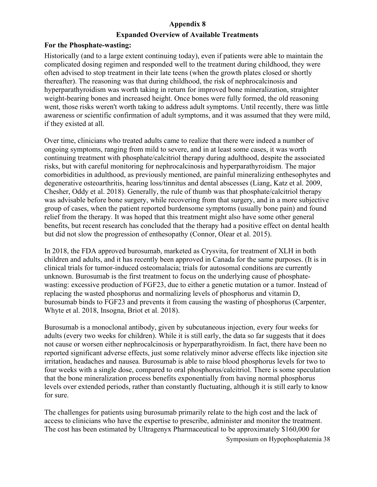## **Appendix 8**

## **Expanded Overview of Available Treatments**

## **For the Phosphate-wasting:**

Historically (and to a large extent continuing today), even if patients were able to maintain the complicated dosing regimen and responded well to the treatment during childhood, they were often advised to stop treatment in their late teens (when the growth plates closed or shortly thereafter). The reasoning was that during childhood, the risk of nephrocalcinosis and hyperparathyroidism was worth taking in return for improved bone mineralization, straighter weight-bearing bones and increased height. Once bones were fully formed, the old reasoning went, those risks weren't worth taking to address adult symptoms. Until recently, there was little awareness or scientific confirmation of adult symptoms, and it was assumed that they were mild, if they existed at all.

Over time, clinicians who treated adults came to realize that there were indeed a number of ongoing symptoms, ranging from mild to severe, and in at least some cases, it was worth continuing treatment with phosphate/calcitriol therapy during adulthood, despite the associated risks, but with careful monitoring for nephrocalcinosis and hyperparathyroidism. The major comorbidities in adulthood, as previously mentioned, are painful mineralizing enthesophytes and degenerative osteoarthritis, hearing loss/tinnitus and dental abscesses (Liang, Katz et al. 2009, Chesher, Oddy et al. 2018). Generally, the rule of thumb was that phosphate/calcitriol therapy was advisable before bone surgery, while recovering from that surgery, and in a more subjective group of cases, when the patient reported burdensome symptoms (usually bone pain) and found relief from the therapy. It was hoped that this treatment might also have some other general benefits, but recent research has concluded that the therapy had a positive effect on dental health but did not slow the progression of enthesopathy (Connor, Olear et al. 2015).

In 2018, the FDA approved burosumab, marketed as Crysvita, for treatment of XLH in both children and adults, and it has recently been approved in Canada for the same purposes. (It is in clinical trials for tumor-induced osteomalacia; trials for autosomal conditions are currently unknown. Burosumab is the first treatment to focus on the underlying cause of phosphatewasting: excessive production of FGF23, due to either a genetic mutation or a tumor. Instead of replacing the wasted phosphorus and normalizing levels of phosphorus and vitamin D, burosumab binds to FGF23 and prevents it from causing the wasting of phosphorus (Carpenter, Whyte et al. 2018, Insogna, Briot et al. 2018).

Burosumab is a monoclonal antibody, given by subcutaneous injection, every four weeks for adults (every two weeks for children). While it is still early, the data so far suggests that it does not cause or worsen either nephrocalcinosis or hyperparathyroidism. In fact, there have been no reported significant adverse effects, just some relatively minor adverse effects like injection site irritation, headaches and nausea. Burosumab is able to raise blood phosphorus levels for two to four weeks with a single dose, compared to oral phosphorus/calcitriol. There is some speculation that the bone mineralization process benefits exponentially from having normal phosphorus levels over extended periods, rather than constantly fluctuating, although it is still early to know for sure.

The challenges for patients using burosumab primarily relate to the high cost and the lack of access to clinicians who have the expertise to prescribe, administer and monitor the treatment. The cost has been estimated by Ultragenyx Pharmaceutical to be approximately \$160,000 for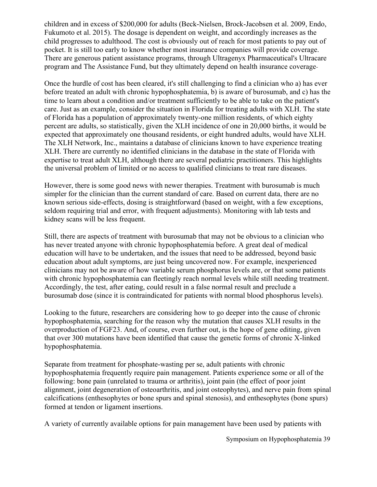children and in excess of \$200,000 for adults (Beck-Nielsen, Brock-Jacobsen et al. 2009, Endo, Fukumoto et al. 2015). The dosage is dependent on weight, and accordingly increases as the child progresses to adulthood. The cost is obviously out of reach for most patients to pay out of pocket. It is still too early to know whether most insurance companies will provide coverage. There are generous patient assistance programs, through Ultragenyx Pharmaceutical's Ultracare program and The Assistance Fund, but they ultimately depend on health insurance coverage

Once the hurdle of cost has been cleared, it's still challenging to find a clinician who a) has ever before treated an adult with chronic hypophosphatemia, b) is aware of burosumab, and c) has the time to learn about a condition and/or treatment sufficiently to be able to take on the patient's care. Just as an example, consider the situation in Florida for treating adults with XLH. The state of Florida has a population of approximately twenty-one million residents, of which eighty percent are adults, so statistically, given the XLH incidence of one in 20,000 births, it would be expected that approximately one thousand residents, or eight hundred adults, would have XLH. The XLH Network, Inc., maintains a database of clinicians known to have experience treating XLH. There are currently no identified clinicians in the database in the state of Florida with expertise to treat adult XLH, although there are several pediatric practitioners. This highlights the universal problem of limited or no access to qualified clinicians to treat rare diseases.

However, there is some good news with newer therapies. Treatment with burosumab is much simpler for the clinician than the current standard of care. Based on current data, there are no known serious side-effects, dosing is straightforward (based on weight, with a few exceptions, seldom requiring trial and error, with frequent adjustments). Monitoring with lab tests and kidney scans will be less frequent.

Still, there are aspects of treatment with burosumab that may not be obvious to a clinician who has never treated anyone with chronic hypophosphatemia before. A great deal of medical education will have to be undertaken, and the issues that need to be addressed, beyond basic education about adult symptoms, are just being uncovered now. For example, inexperienced clinicians may not be aware of how variable serum phosphorus levels are, or that some patients with chronic hypophosphatemia can fleetingly reach normal levels while still needing treatment. Accordingly, the test, after eating, could result in a false normal result and preclude a burosumab dose (since it is contraindicated for patients with normal blood phosphorus levels).

Looking to the future, researchers are considering how to go deeper into the cause of chronic hypophosphatemia, searching for the reason why the mutation that causes XLH results in the overproduction of FGF23. And, of course, even further out, is the hope of gene editing, given that over 300 mutations have been identified that cause the genetic forms of chronic X-linked hypophosphatemia.

Separate from treatment for phosphate-wasting per se, adult patients with chronic hypophosphatemia frequently require pain management. Patients experience some or all of the following: bone pain (unrelated to trauma or arthritis), joint pain (the effect of poor joint alignment, joint degeneration of osteoarthritis, and joint osteophytes), and nerve pain from spinal calcifications (enthesophytes or bone spurs and spinal stenosis), and enthesophytes (bone spurs) formed at tendon or ligament insertions.

A variety of currently available options for pain management have been used by patients with